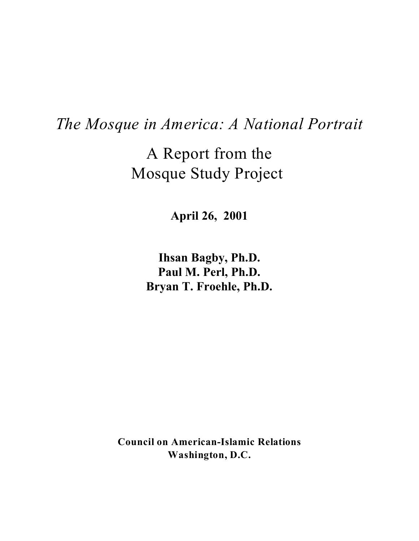# *The Mosque in America: A National Portrait*

A Report from the Mosque Study Project

**April 26, 2001**

**Ihsan Bagby, Ph.D. Paul M. Perl, Ph.D. Bryan T. Froehle, Ph.D.**

**Council on American-Islamic Relations Washington, D.C.**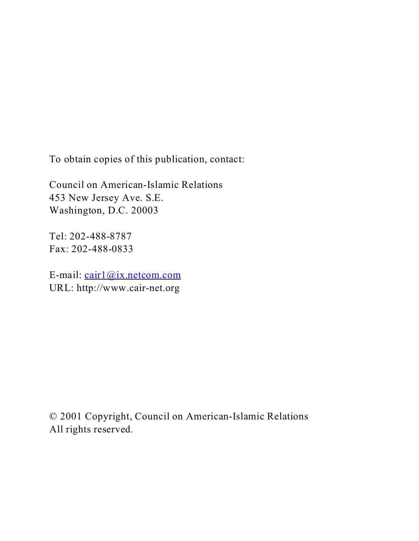To obtain copies of this publication, contact:

Council on American-Islamic Relations 453 New Jersey Ave. S.E. Washington, D.C. 20003

Tel: 202-488-8787 Fax: 202-488-0833

E-mail: cair1@ix.netcom.com URL: http://www.cair-net.org

© 2001 Copyright, Council on American-Islamic Relations All rights reserved.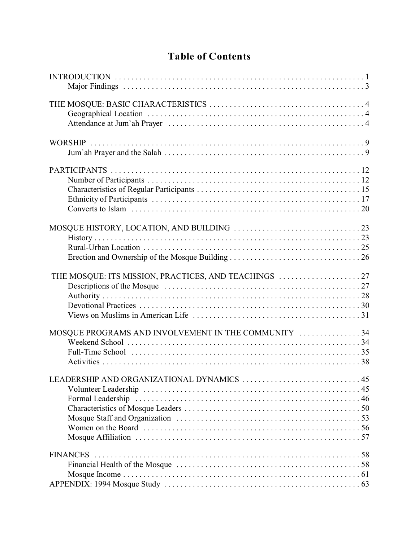# **Table of Contents**

| MOSQUE PROGRAMS AND INVOLVEMENT IN THE COMMUNITY 34 |
|-----------------------------------------------------|
|                                                     |
|                                                     |
|                                                     |
| LEADERSHIP AND ORGANIZATIONAL DYNAMICS  45          |
|                                                     |
|                                                     |
|                                                     |
|                                                     |
|                                                     |
|                                                     |
|                                                     |
|                                                     |
|                                                     |
|                                                     |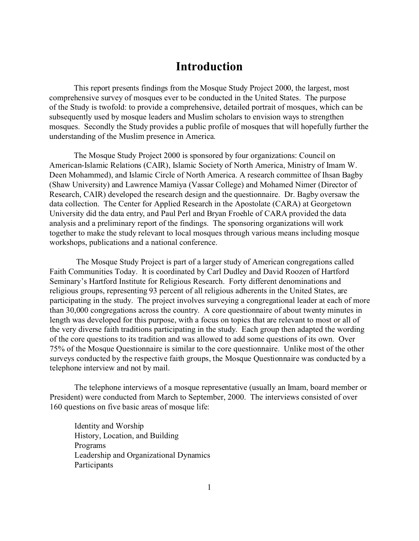# **Introduction**

This report presents findings from the Mosque Study Project 2000, the largest, most comprehensive survey of mosques ever to be conducted in the United States. The purpose of the Study is twofold: to provide a comprehensive, detailed portrait of mosques, which can be subsequently used by mosque leaders and Muslim scholars to envision ways to strengthen mosques. Secondly the Study provides a public profile of mosques that will hopefully further the understanding of the Muslim presence in America.

The Mosque Study Project 2000 is sponsored by four organizations: Council on American-Islamic Relations (CAIR), Islamic Society of North America, Ministry of Imam W. Deen Mohammed), and Islamic Circle of North America. A research committee of Ihsan Bagby (Shaw University) and Lawrence Mamiya (Vassar College) and Mohamed Nimer (Director of Research, CAIR) developed the research design and the questionnaire. Dr. Bagby oversaw the data collection. The Center for Applied Research in the Apostolate (CARA) at Georgetown University did the data entry, and Paul Perl and Bryan Froehle of CARA provided the data analysis and a preliminary report of the findings. The sponsoring organizations will work together to make the study relevant to local mosques through various means including mosque workshops, publications and a national conference.

 The Mosque Study Project is part of a larger study of American congregations called Faith Communities Today. It is coordinated by Carl Dudley and David Roozen of Hartford Seminary's Hartford Institute for Religious Research. Forty different denominations and religious groups, representing 93 percent of all religious adherents in the United States, are participating in the study. The project involves surveying a congregational leader at each of more than 30,000 congregations across the country. A core questionnaire of about twenty minutes in length was developed for this purpose, with a focus on topics that are relevant to most or all of the very diverse faith traditions participating in the study. Each group then adapted the wording of the core questions to its tradition and was allowed to add some questions of its own. Over 75% of the Mosque Questionnaire is similar to the core questionnaire. Unlike most of the other surveys conducted by the respective faith groups, the Mosque Questionnaire was conducted by a telephone interview and not by mail.

The telephone interviews of a mosque representative (usually an Imam, board member or President) were conducted from March to September, 2000. The interviews consisted of over 160 questions on five basic areas of mosque life:

Identity and Worship History, Location, and Building Programs Leadership and Organizational Dynamics Participants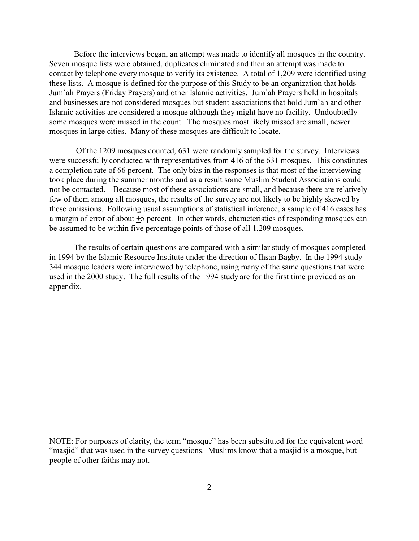Before the interviews began, an attempt was made to identify all mosques in the country. Seven mosque lists were obtained, duplicates eliminated and then an attempt was made to contact by telephone every mosque to verify its existence. A total of 1,209 were identified using these lists. A mosque is defined for the purpose of this Study to be an organization that holds Jum`ah Prayers (Friday Prayers) and other Islamic activities. Jum`ah Prayers held in hospitals and businesses are not considered mosques but student associations that hold Jum`ah and other Islamic activities are considered a mosque although they might have no facility. Undoubtedly some mosques were missed in the count. The mosques most likely missed are small, newer mosques in large cities. Many of these mosques are difficult to locate.

 Of the 1209 mosques counted, 631 were randomly sampled for the survey. Interviews were successfully conducted with representatives from 416 of the 631 mosques. This constitutes a completion rate of 66 percent. The only bias in the responses is that most of the interviewing took place during the summer months and as a result some Muslim Student Associations could not be contacted. Because most of these associations are small, and because there are relatively few of them among all mosques, the results of the survey are not likely to be highly skewed by these omissions. Following usual assumptions of statistical inference, a sample of 416 cases has a margin of error of about +5 percent. In other words, characteristics of responding mosques can be assumed to be within five percentage points of those of all 1,209 mosques.

The results of certain questions are compared with a similar study of mosques completed in 1994 by the Islamic Resource Institute under the direction of Ihsan Bagby. In the 1994 study 344 mosque leaders were interviewed by telephone, using many of the same questions that were used in the 2000 study. The full results of the 1994 study are for the first time provided as an appendix.

NOTE: For purposes of clarity, the term "mosque" has been substituted for the equivalent word "masjid" that was used in the survey questions. Muslims know that a masjid is a mosque, but people of other faiths may not.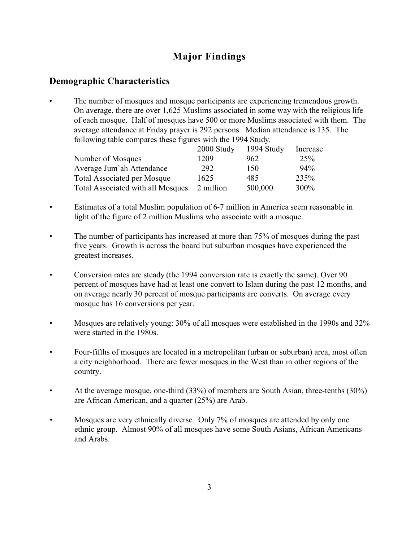# **Major Findings**

# **Demographic Characteristics**

The number of mosques and mosque participants are experiencing tremendous growth. On average, there are over 1,625 Muslims associated in some way with the religious life of each mosque. Half of mosques have 500 or more Muslims associated with them. The average attendance at Friday prayer is 292 persons. Median attendance is 135. The following table compares these figures with the 1994 Study.

|                                    | 2000 Study | 1994 Study | Increase        |
|------------------------------------|------------|------------|-----------------|
| Number of Mosques                  | 1209       | 962.       | 25 <sup>%</sup> |
| Average Jum'ah Attendance          | 292        | 150        | $94\%$          |
| <b>Total Associated per Mosque</b> | 1625       | 485        | 235%            |
| Total Associated with all Mosques  | 2 million  | 500,000    | 300%            |

- Estimates of a total Muslim population of 6-7 million in America seem reasonable in light of the figure of 2 million Muslims who associate with a mosque.
- The number of participants has increased at more than 75% of mosques during the past five years. Growth is across the board but suburban mosques have experienced the greatest increases.
- Conversion rates are steady (the 1994 conversion rate is exactly the same). Over 90 percent of mosques have had at least one convert to Islam during the past 12 months, and on average nearly 30 percent of mosque participants are converts. On average every mosque has 16 conversions per year.
- Mosques are relatively young: 30% of all mosques were established in the 1990s and 32% were started in the 1980s.
- Four-fifths of mosques are located in a metropolitan (urban or suburban) area, most often a city neighborhood. There are fewer mosques in the West than in other regions of the country.
- At the average mosque, one-third (33%) of members are South Asian, three-tenths (30%) are African American, and a quarter (25%) are Arab.
- Mosques are very ethnically diverse. Only 7% of mosques are attended by only one ethnic group. Almost 90% of all mosques have some South Asians, African Americans and Arabs.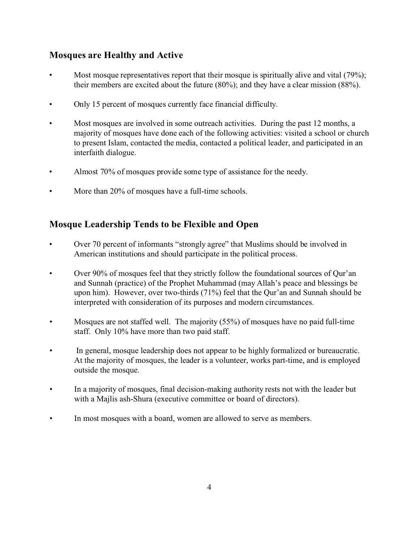# **Mosques are Healthy and Active**

- Most mosque representatives report that their mosque is spiritually alive and vital (79%); their members are excited about the future (80%); and they have a clear mission (88%).
- Only 15 percent of mosques currently face financial difficulty.
- Most mosques are involved in some outreach activities. During the past 12 months, a majority of mosques have done each of the following activities: visited a school or church to present Islam, contacted the media, contacted a political leader, and participated in an interfaith dialogue.
- Almost 70% of mosques provide some type of assistance for the needy.
- More than 20% of mosques have a full-time schools.

# **Mosque Leadership Tends to be Flexible and Open**

- Over 70 percent of informants "strongly agree" that Muslims should be involved in American institutions and should participate in the political process.
- Over 90% of mosques feel that they strictly follow the foundational sources of Qur'an and Sunnah (practice) of the Prophet Muhammad (may Allah's peace and blessings be upon him). However, over two-thirds (71%) feel that the Qur'an and Sunnah should be interpreted with consideration of its purposes and modern circumstances.
- Mosques are not staffed well. The majority (55%) of mosques have no paid full-time staff. Only 10% have more than two paid staff.
- In general, mosque leadership does not appear to be highly formalized or bureaucratic. At the majority of mosques, the leader is a volunteer, works part-time, and is employed outside the mosque.
- In a majority of mosques, final decision-making authority rests not with the leader but with a Majlis ash-Shura (executive committee or board of directors).
- In most mosques with a board, women are allowed to serve as members.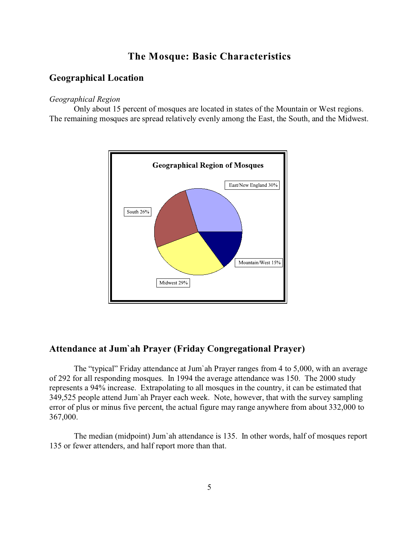# **The Mosque: Basic Characteristics**

# **Geographical Location**

#### *Geographical Region*

Only about 15 percent of mosques are located in states of the Mountain or West regions. The remaining mosques are spread relatively evenly among the East, the South, and the Midwest.



### **Attendance at Jum`ah Prayer (Friday Congregational Prayer)**

The "typical" Friday attendance at Jum`ah Prayer ranges from 4 to 5,000, with an average of 292 for all responding mosques. In 1994 the average attendance was 150. The 2000 study represents a 94% increase. Extrapolating to all mosques in the country, it can be estimated that 349,525 people attend Jum`ah Prayer each week. Note, however, that with the survey sampling error of plus or minus five percent, the actual figure may range anywhere from about 332,000 to 367,000.

The median (midpoint) Jum`ah attendance is 135. In other words, half of mosques report 135 or fewer attenders, and half report more than that.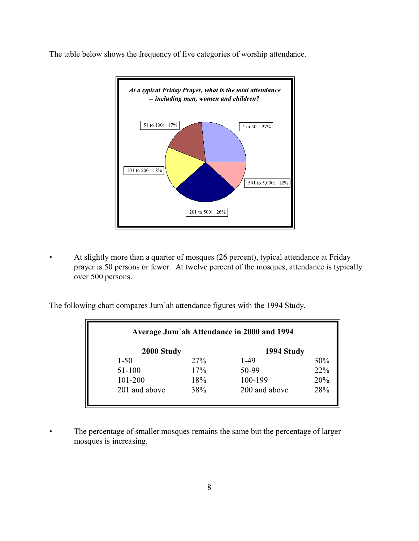The table below shows the frequency of five categories of worship attendance.



• At slightly more than a quarter of mosques (26 percent), typical attendance at Friday prayer is 50 persons or fewer. At twelve percent of the mosques, attendance is typically over 500 persons.

The following chart compares Jum`ah attendance figures with the 1994 Study.

| Average Jum'ah Attendance in 2000 and 1994 |     |               |     |  |
|--------------------------------------------|-----|---------------|-----|--|
| 2000 Study                                 |     | 1994 Study    |     |  |
| $1 - 50$                                   | 27% | 1-49          | 30% |  |
| $51 - 100$                                 | 17% | 50-99         | 22% |  |
| 101-200                                    | 18% | 100-199       | 20% |  |
| 201 and above                              | 38% | 200 and above | 28% |  |
|                                            |     |               |     |  |

• The percentage of smaller mosques remains the same but the percentage of larger mosques is increasing.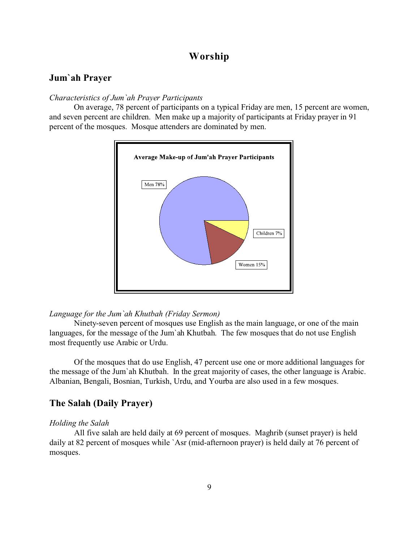# **Worship**

### **Jum`ah Prayer**

#### *Characteristics of Jum`ah Prayer Participants*

On average, 78 percent of participants on a typical Friday are men, 15 percent are women, and seven percent are children. Men make up a majority of participants at Friday prayer in 91 percent of the mosques. Mosque attenders are dominated by men.



#### *Language for the Jum`ah Khutbah (Friday Sermon)*

Ninety-seven percent of mosques use English as the main language, or one of the main languages, for the message of the Jum`ah Khutbah. The few mosques that do not use English most frequently use Arabic or Urdu.

Of the mosques that do use English, 47 percent use one or more additional languages for the message of the Jum`ah Khutbah. In the great majority of cases, the other language is Arabic. Albanian, Bengali, Bosnian, Turkish, Urdu, and Yourba are also used in a few mosques.

### **The Salah (Daily Prayer)**

#### *Holding the Salah*

All five salah are held daily at 69 percent of mosques. Maghrib (sunset prayer) is held daily at 82 percent of mosques while `Asr (mid-afternoon prayer) is held daily at 76 percent of mosques.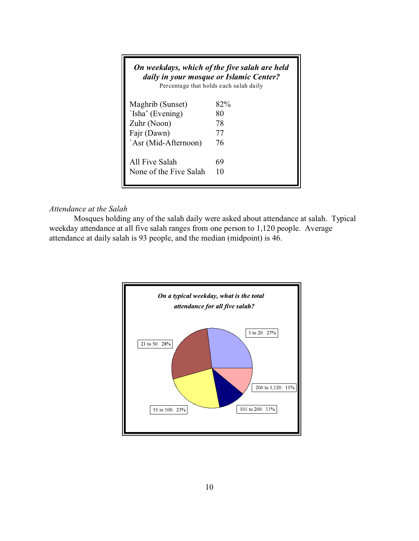|                        | On weekdays, which of the five salah are held<br>daily in your mosque or Islamic Center?<br>Percentage that holds each salah daily |
|------------------------|------------------------------------------------------------------------------------------------------------------------------------|
| Maghrib (Sunset)       | 82%                                                                                                                                |
| 'Isha' (Evening)       | 80                                                                                                                                 |
| Zuhr (Noon)            | 78                                                                                                                                 |
| Fajr (Dawn)            | 77                                                                                                                                 |
| `Asr (Mid-Afternoon)   | 76                                                                                                                                 |
| All Five Salah         | 69                                                                                                                                 |
| None of the Five Salah | 10                                                                                                                                 |

### *Attendance at the Salah*

Mosques holding any of the salah daily were asked about attendance at salah. Typical weekday attendance at all five salah ranges from one person to 1,120 people. Average attendance at daily salah is 93 people, and the median (midpoint) is 46.

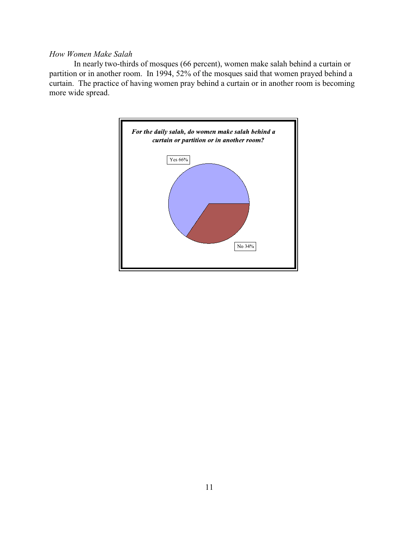### *How Women Make Salah*

In nearly two-thirds of mosques (66 percent), women make salah behind a curtain or partition or in another room. In 1994, 52% of the mosques said that women prayed behind a curtain. The practice of having women pray behind a curtain or in another room is becoming more wide spread.

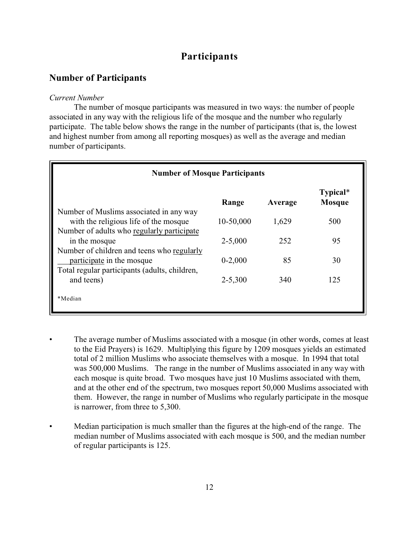# **Participants**

### **Number of Participants**

#### *Current Number*

The number of mosque participants was measured in two ways: the number of people associated in any way with the religious life of the mosque and the number who regularly participate. The table below shows the range in the number of participants (that is, the lowest and highest number from among all reporting mosques) as well as the average and median number of participants.

| <b>Number of Mosque Participants</b>                                             |             |         |                           |
|----------------------------------------------------------------------------------|-------------|---------|---------------------------|
|                                                                                  | Range       | Average | Typical*<br><b>Mosque</b> |
| Number of Muslims associated in any way<br>with the religious life of the mosque | 10-50,000   | 1,629   | 500                       |
| Number of adults who regularly participate<br>in the mosque                      | $2 - 5,000$ | 252     | 95                        |
| Number of children and teens who regularly                                       |             |         |                           |
| participate in the mosque<br>Total regular participants (adults, children,       | $0 - 2,000$ | 85      | 30                        |
| and teens)                                                                       | $2 - 5,300$ | 340     | 125                       |
| *Median                                                                          |             |         |                           |

- The average number of Muslims associated with a mosque (in other words, comes at least to the Eid Prayers) is 1629. Multiplying this figure by 1209 mosques yields an estimated total of 2 million Muslims who associate themselves with a mosque. In 1994 that total was 500,000 Muslims. The range in the number of Muslims associated in any way with each mosque is quite broad. Two mosques have just 10 Muslims associated with them, and at the other end of the spectrum, two mosques report 50,000 Muslims associated with them. However, the range in number of Muslims who regularly participate in the mosque is narrower, from three to 5,300.
- Median participation is much smaller than the figures at the high-end of the range. The median number of Muslims associated with each mosque is 500, and the median number of regular participants is 125.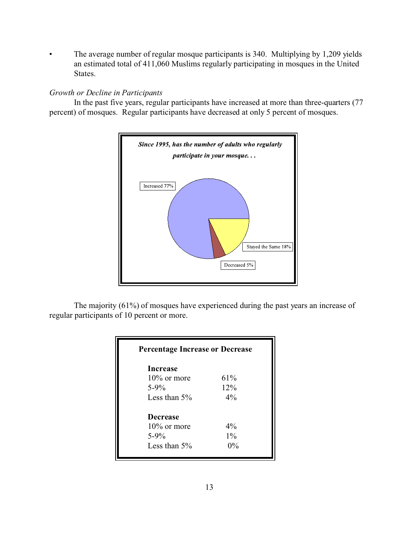The average number of regular mosque participants is 340. Multiplying by 1,209 yields an estimated total of 411,060 Muslims regularly participating in mosques in the United States.

### *Growth or Decline in Participants*

In the past five years, regular participants have increased at more than three-quarters (77 percent) of mosques. Regular participants have decreased at only 5 percent of mosques.



The majority (61%) of mosques have experienced during the past years an increase of regular participants of 10 percent or more.

| <b>Percentage Increase or Decrease</b> |       |
|----------------------------------------|-------|
| <b>Increase</b>                        |       |
| $10\%$ or more                         | 61%   |
| $5 - 9\%$                              | 12%   |
| Less than $5\%$                        | $4\%$ |
| <b>Decrease</b>                        |       |
| $10\%$ or more                         | $4\%$ |
| $5 - 9\%$                              | $1\%$ |
| Less than $5\%$                        | $0\%$ |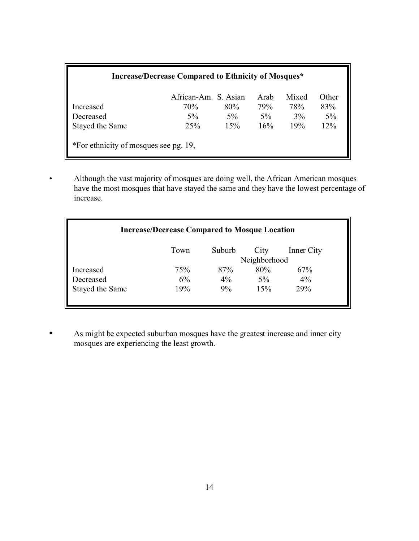| <b>Increase/Decrease Compared to Ethnicity of Mosques*</b> |                             |       |             |              |              |
|------------------------------------------------------------|-----------------------------|-------|-------------|--------------|--------------|
| Increased                                                  | African-Am. S. Asian<br>70% | 80%   | Arab<br>79% | Mixed<br>78% | Other<br>83% |
| Decreased                                                  | $5\%$                       | $5\%$ | $5\%$       | $3\%$        | $5\%$        |
| Stayed the Same                                            | 25%                         | 15%   | 16%         | 19%          | 12%          |
| *For ethnicity of mosques see pg. 19,                      |                             |       |             |              |              |

• Although the vast majority of mosques are doing well, the African American mosques have the most mosques that have stayed the same and they have the lowest percentage of increase.

| <b>Increase/Decrease Compared to Mosque Location</b> |      |        |              |            |
|------------------------------------------------------|------|--------|--------------|------------|
|                                                      | Town | Suburb | City         | Inner City |
|                                                      |      |        | Neighborhood |            |
| Increased                                            | 75%  | 87%    | 80%          | 67%        |
| Decreased                                            | 6%   | $4\%$  | 5%           | $4\%$      |
| Stayed the Same                                      | 19%  | 9%     | 15%          | 29%        |
|                                                      |      |        |              |            |

**•** As might be expected suburban mosques have the greatest increase and inner city mosques are experiencing the least growth.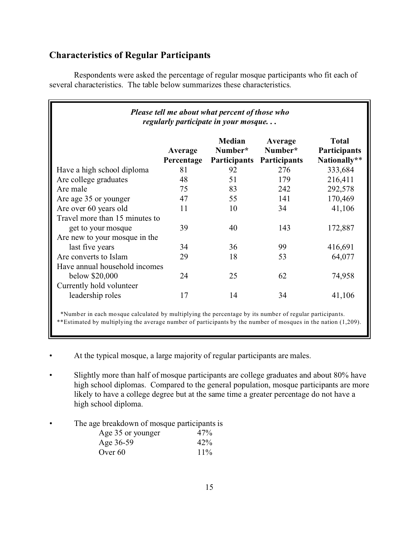# **Characteristics of Regular Participants**

Respondents were asked the percentage of regular mosque participants who fit each of several characteristics. The table below summarizes these characteristics.

| Please tell me about what percent of those who<br>regularly participate in your mosque |                       |                                   |                                    |                                              |
|----------------------------------------------------------------------------------------|-----------------------|-----------------------------------|------------------------------------|----------------------------------------------|
|                                                                                        | Average<br>Percentage | Median<br>Number*<br>Participants | Average<br>Number*<br>Participants | <b>Total</b><br>Participants<br>Nationally** |
| Have a high school diploma                                                             | 81                    | 92                                | 276                                | 333,684                                      |
| Are college graduates                                                                  | 48                    | 51                                | 179                                | 216,411                                      |
| Are male                                                                               | 75                    | 83                                | 242                                | 292,578                                      |
| Are age 35 or younger                                                                  | 47                    | 55                                | 141                                | 170,469                                      |
| Are over 60 years old                                                                  | 11                    | 10                                | 34                                 | 41,106                                       |
| Travel more than 15 minutes to                                                         |                       |                                   |                                    |                                              |
| get to your mosque                                                                     | 39                    | 40                                | 143                                | 172,887                                      |
| Are new to your mosque in the                                                          |                       |                                   |                                    |                                              |
| last five years                                                                        | 34                    | 36                                | 99                                 | 416,691                                      |
| Are converts to Islam                                                                  | 29                    | 18                                | 53                                 | 64,077                                       |
| Have annual household incomes                                                          |                       |                                   |                                    |                                              |
| below \$20,000                                                                         | 24                    | 25                                | 62                                 | 74,958                                       |
| Currently hold volunteer                                                               |                       |                                   |                                    |                                              |
| leadership roles                                                                       | 17                    | 14                                | 34                                 | 41,106                                       |
|                                                                                        |                       |                                   |                                    |                                              |

\*Number in each mosque calculated by multiplying the percentage by its number of regular participants.

\*\*Estimated by multiplying the average number of participants by the number of mosques in the nation (1,209).

- At the typical mosque, a large majority of regular participants are males.
- Slightly more than half of mosque participants are college graduates and about 80% have high school diplomas. Compared to the general population, mosque participants are more likely to have a college degree but at the same time a greater percentage do not have a high school diploma.
- The age breakdown of mosque participants is

| Age 35 or younger | 47%    |
|-------------------|--------|
| Age 36-59         | 42%    |
| Over 60           | $11\%$ |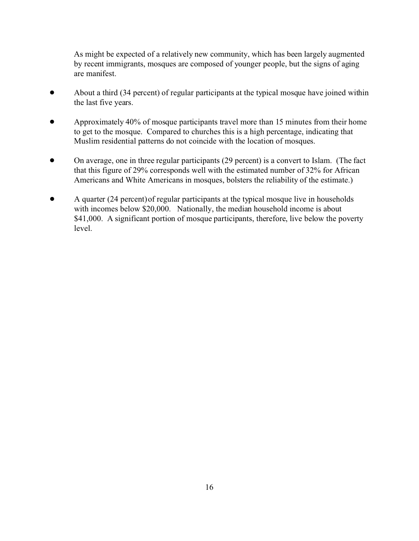As might be expected of a relatively new community, which has been largely augmented by recent immigrants, mosques are composed of younger people, but the signs of aging are manifest.

- About a third (34 percent) of regular participants at the typical mosque have joined within the last five years.
- Approximately 40% of mosque participants travel more than 15 minutes from their home to get to the mosque. Compared to churches this is a high percentage, indicating that Muslim residential patterns do not coincide with the location of mosques.
- On average, one in three regular participants (29 percent) is a convert to Islam. (The fact that this figure of 29% corresponds well with the estimated number of 32% for African Americans and White Americans in mosques, bolsters the reliability of the estimate.)
- ! A quarter (24 percent)of regular participants at the typical mosque live in households with incomes below \$20,000. Nationally, the median household income is about \$41,000. A significant portion of mosque participants, therefore, live below the poverty level.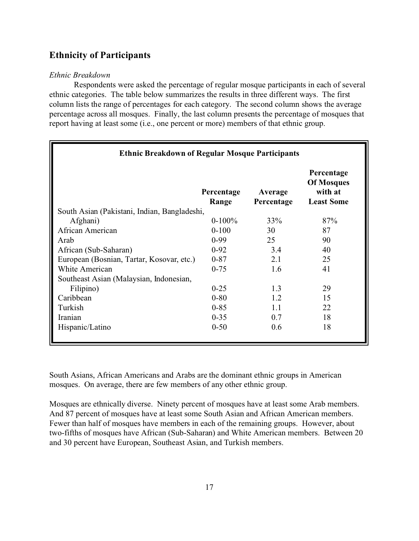# **Ethnicity of Participants**

### *Ethnic Breakdown*

Respondents were asked the percentage of regular mosque participants in each of several ethnic categories. The table below summarizes the results in three different ways. The first column lists the range of percentages for each category. The second column shows the average percentage across all mosques. Finally, the last column presents the percentage of mosques that report having at least some (i.e., one percent or more) members of that ethnic group.

| <b>Ethnic Breakdown of Regular Mosque Participants</b> |                     |                       |                                                                 |  |
|--------------------------------------------------------|---------------------|-----------------------|-----------------------------------------------------------------|--|
|                                                        | Percentage<br>Range | Average<br>Percentage | Percentage<br><b>Of Mosques</b><br>with at<br><b>Least Some</b> |  |
| South Asian (Pakistani, Indian, Bangladeshi,           |                     |                       |                                                                 |  |
| Afghani)                                               | $0-100%$            | 33%                   | 87%                                                             |  |
| African American                                       | $0 - 100$           | 30                    | 87                                                              |  |
| Arab                                                   | $0-99$              | 25                    | 90                                                              |  |
| African (Sub-Saharan)                                  | $0 - 92$            | 3.4                   | 40                                                              |  |
| European (Bosnian, Tartar, Kosovar, etc.)              | $0 - 87$            | 2.1                   | 25                                                              |  |
| <b>White American</b>                                  | $0 - 75$            | 1.6                   | 41                                                              |  |
| Southeast Asian (Malaysian, Indonesian,                |                     |                       |                                                                 |  |
| Filipino)                                              | $0 - 25$            | 1.3                   | 29                                                              |  |
| Caribbean                                              | $0 - 80$            | 1.2                   | 15                                                              |  |
| Turkish                                                | $0 - 85$            | 1.1                   | 22                                                              |  |
| Iranian                                                | $0 - 35$            | 0.7                   | 18                                                              |  |
| Hispanic/Latino                                        | $0 - 50$            | 0.6                   | 18                                                              |  |

South Asians, African Americans and Arabs are the dominant ethnic groups in American mosques. On average, there are few members of any other ethnic group.

Mosques are ethnically diverse. Ninety percent of mosques have at least some Arab members. And 87 percent of mosques have at least some South Asian and African American members. Fewer than half of mosques have members in each of the remaining groups. However, about two-fifths of mosques have African (Sub-Saharan) and White American members. Between 20 and 30 percent have European, Southeast Asian, and Turkish members.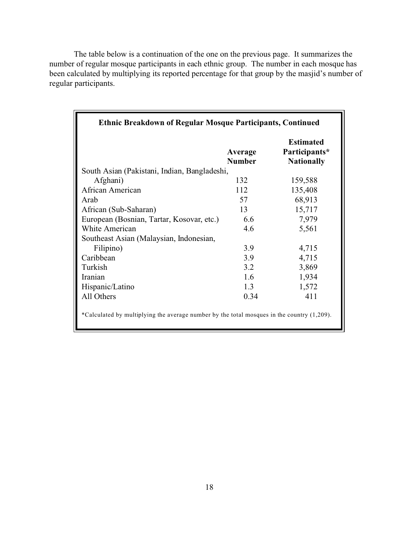The table below is a continuation of the one on the previous page. It summarizes the number of regular mosque participants in each ethnic group. The number in each mosque has been calculated by multiplying its reported percentage for that group by the masjid's number of regular participants.

|                                              | Average<br><b>Number</b> | <b>Estimated</b><br>Participants*<br><b>Nationally</b> |
|----------------------------------------------|--------------------------|--------------------------------------------------------|
| South Asian (Pakistani, Indian, Bangladeshi, |                          |                                                        |
| Afghani)                                     | 132                      | 159,588                                                |
| African American                             | 112                      | 135,408                                                |
| Arab                                         | 57                       | 68,913                                                 |
| African (Sub-Saharan)                        | 13                       | 15,717                                                 |
| European (Bosnian, Tartar, Kosovar, etc.)    | 6.6                      | 7,979                                                  |
| White American                               | 4.6                      | 5,561                                                  |
| Southeast Asian (Malaysian, Indonesian,      |                          |                                                        |
| Filipino)                                    | 3.9                      | 4,715                                                  |
| Caribbean                                    | 3.9                      | 4,715                                                  |
| Turkish                                      | 3.2                      | 3,869                                                  |
| Iranian                                      | 1.6                      | 1,934                                                  |
| Hispanic/Latino                              | 1.3                      | 1,572                                                  |
| All Others                                   | 0.34                     | 411                                                    |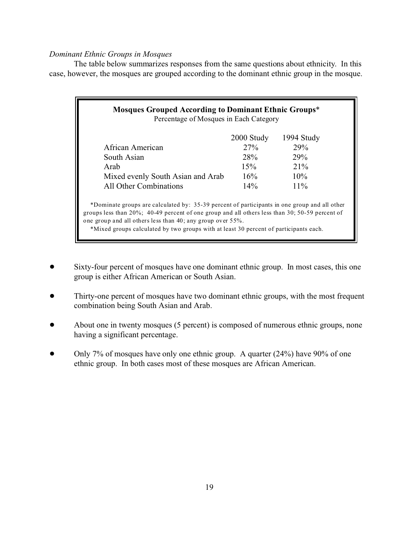### *Dominant Ethnic Groups in Mosques*

The table below summarizes responses from the same questions about ethnicity. In this case, however, the mosques are grouped according to the dominant ethnic group in the mosque.

| Mosques Grouped According to Dominant Ethnic Groups*<br>Percentage of Mosques in Each Category                                                                                                                                                                                                                                                            |            |            |  |  |  |  |
|-----------------------------------------------------------------------------------------------------------------------------------------------------------------------------------------------------------------------------------------------------------------------------------------------------------------------------------------------------------|------------|------------|--|--|--|--|
|                                                                                                                                                                                                                                                                                                                                                           | 2000 Study | 1994 Study |  |  |  |  |
| African American                                                                                                                                                                                                                                                                                                                                          | 27%        | 29%        |  |  |  |  |
| South Asian                                                                                                                                                                                                                                                                                                                                               | <b>28%</b> | 29%        |  |  |  |  |
| Arab                                                                                                                                                                                                                                                                                                                                                      | 15%        | $21\%$     |  |  |  |  |
| Mixed evenly South Asian and Arab                                                                                                                                                                                                                                                                                                                         | 16%        | $10\%$     |  |  |  |  |
| All Other Combinations                                                                                                                                                                                                                                                                                                                                    | $14\%$     | 11%        |  |  |  |  |
| *Dominate groups are calculated by: 35-39 percent of participants in one group and all other<br>groups less than $20\%$ ; 40-49 percent of one group and all others less than 30; 50-59 percent of<br>one group and all others less than 40; any group over 55%.<br>*Mixed groups calculated by two groups with at least 30 percent of participants each. |            |            |  |  |  |  |

- ! Sixty-four percent of mosques have one dominant ethnic group. In most cases, this one group is either African American or South Asian.
- Thirty-one percent of mosques have two dominant ethnic groups, with the most frequent combination being South Asian and Arab.
- ! About one in twenty mosques (5 percent) is composed of numerous ethnic groups, none having a significant percentage.
- Only 7% of mosques have only one ethnic group. A quarter (24%) have 90% of one ethnic group. In both cases most of these mosques are African American.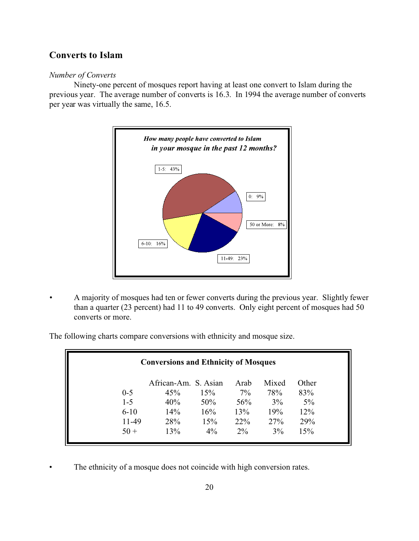# **Converts to Islam**

### *Number of Converts*

Ninety-one percent of mosques report having at least one convert to Islam during the previous year. The average number of converts is 16.3. In 1994 the average number of converts per year was virtually the same, 16.5.



*•* A majority of mosques had ten or fewer converts during the previous year. Slightly fewer than a quarter (23 percent) had 11 to 49 converts. Only eight percent of mosques had 50 converts or more.

The following charts compare conversions with ethnicity and mosque size.

| <b>Conversions and Ethnicity of Mosques</b> |                      |       |       |       |       |
|---------------------------------------------|----------------------|-------|-------|-------|-------|
|                                             | African-Am. S. Asian |       | Arab  | Mixed | Other |
| $0 - 5$                                     | 45%                  | 15%   | $7\%$ | 78%   | 83%   |
| $1 - 5$                                     | 40%                  | 50%   | 56%   | 3%    | 5%    |
| $6 - 10$                                    | 14%                  | 16%   | 13%   | 19%   | 12%   |
| 11-49                                       | 28%                  | 15%   | 22%   | 27%   | 29%   |
| $50 +$                                      | 13%                  | $4\%$ | $2\%$ | 3%    | 15%   |

The ethnicity of a mosque does not coincide with high conversion rates.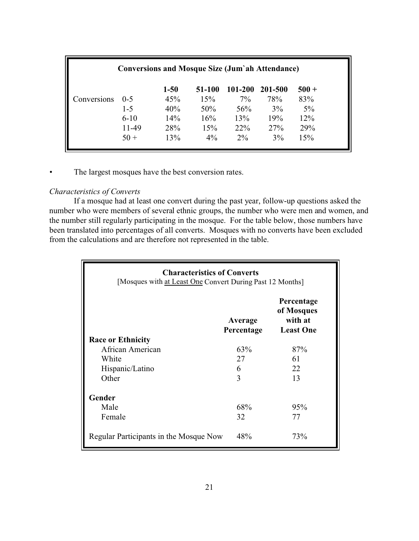| <b>Conversions and Mosque Size (Jum'ah Attendance)</b> |          |          |        |         |         |         |
|--------------------------------------------------------|----------|----------|--------|---------|---------|---------|
|                                                        |          | $1 - 50$ | 51-100 | 101-200 | 201-500 | $500 +$ |
| Conversions                                            | $0 - 5$  | 45%      | 15%    | $7\%$   | 78%     | 83%     |
|                                                        | $1 - 5$  | 40%      | 50%    | 56%     | 3%      | $5\%$   |
|                                                        | $6 - 10$ | 14%      | 16%    | 13%     | 19%     | 12%     |
|                                                        | 11-49    | 28%      | 15%    | 22%     | 27%     | 29%     |
|                                                        | $50 +$   | 13%      | $4\%$  | $2\%$   | 3%      | 15%     |

The largest mosques have the best conversion rates.

### *Characteristics of Converts*

If a mosque had at least one convert during the past year, follow-up questions asked the number who were members of several ethnic groups, the number who were men and women, and the number still regularly participating in the mosque. For the table below, those numbers have been translated into percentages of all converts. Mosques with no converts have been excluded from the calculations and are therefore not represented in the table.

| <b>Characteristics of Converts</b><br>[Mosques with at Least One Convert During Past 12 Months] |                       |                                                         |  |  |
|-------------------------------------------------------------------------------------------------|-----------------------|---------------------------------------------------------|--|--|
|                                                                                                 | Average<br>Percentage | Percentage<br>of Mosques<br>with at<br><b>Least One</b> |  |  |
| <b>Race or Ethnicity</b>                                                                        |                       |                                                         |  |  |
| African American                                                                                | 63%                   | 87%                                                     |  |  |
| White                                                                                           | 27                    | 61                                                      |  |  |
| Hispanic/Latino                                                                                 | 6                     | 22                                                      |  |  |
| Other                                                                                           | 3                     | 13                                                      |  |  |
| Gender                                                                                          |                       |                                                         |  |  |
| Male                                                                                            | 68%                   | 95%                                                     |  |  |
| Female                                                                                          | 32                    | 77                                                      |  |  |
| Regular Participants in the Mosque Now                                                          | 48%                   | 73%                                                     |  |  |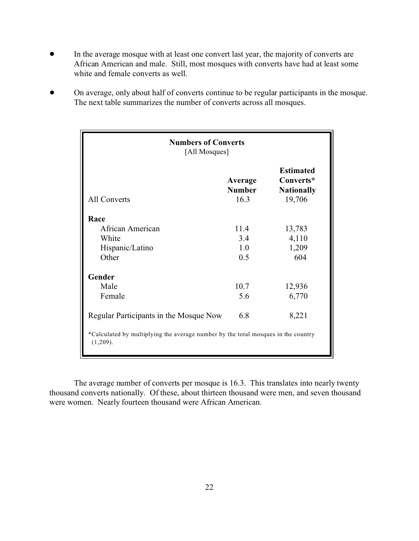- ! In the average mosque with at least one convert last year, the majority of converts are African American and male. Still, most mosques with converts have had at least some white and female converts as well.
- ! On average, only about half of converts continue to be regular participants in the mosque. The next table summarizes the number of converts across all mosques.

| <b>Numbers of Converts</b><br>[All Mosques]                                                                                             |                                  |                                                              |  |
|-----------------------------------------------------------------------------------------------------------------------------------------|----------------------------------|--------------------------------------------------------------|--|
| All Converts                                                                                                                            | Average<br><b>Number</b><br>16.3 | <b>Estimated</b><br>Converts*<br><b>Nationally</b><br>19,706 |  |
| Race<br>African American<br>White<br>Hispanic/Latino<br>Other                                                                           | 11.4<br>3.4<br>1.0<br>0.5        | 13,783<br>4,110<br>1,209<br>604                              |  |
| Gender<br>Male<br>Female                                                                                                                | 10.7<br>5.6                      | 12,936<br>6,770                                              |  |
| Regular Participants in the Mosque Now<br>*Calculated by multiplying the average number by the total mosques in the country<br>(1,209). | 6.8                              | 8,221                                                        |  |

The average number of converts per mosque is 16.3. This translates into nearly twenty thousand converts nationally. Of these, about thirteen thousand were men, and seven thousand were women. Nearly fourteen thousand were African American.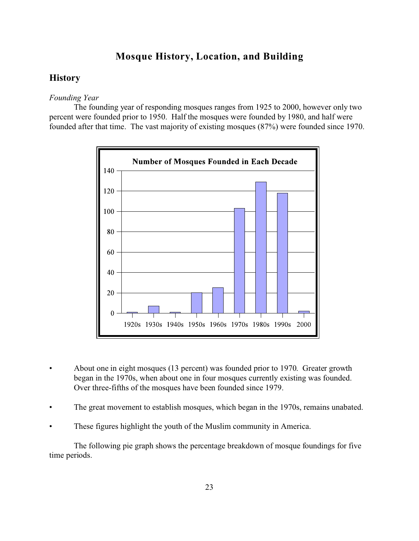### **Mosque History, Location, and Building**

### **History**

### *Founding Year*

The founding year of responding mosques ranges from 1925 to 2000, however only two percent were founded prior to 1950. Half the mosques were founded by 1980, and half were founded after that time. The vast majority of existing mosques (87%) were founded since 1970.



- About one in eight mosques (13 percent) was founded prior to 1970. Greater growth began in the 1970s, when about one in four mosques currently existing was founded. Over three-fifths of the mosques have been founded since 1979.
- The great movement to establish mosques, which began in the 1970s, remains unabated.
- These figures highlight the youth of the Muslim community in America.

The following pie graph shows the percentage breakdown of mosque foundings for five time periods.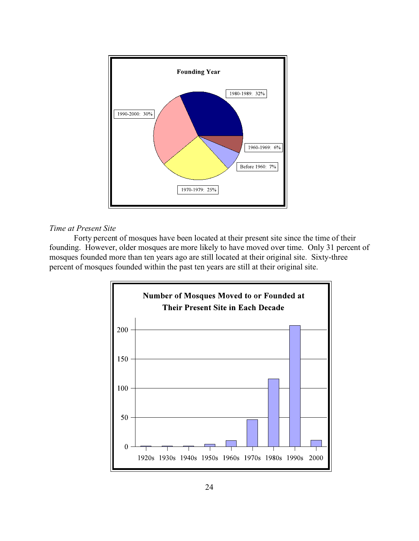

### *Time at Present Site*

Forty percent of mosques have been located at their present site since the time of their founding. However, older mosques are more likely to have moved over time. Only 31 percent of mosques founded more than ten years ago are still located at their original site. Sixty-three percent of mosques founded within the past ten years are still at their original site.

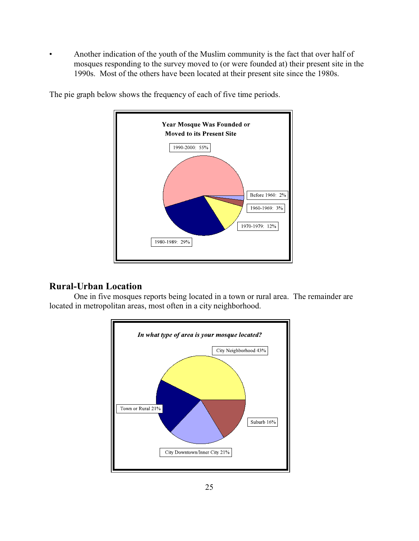• Another indication of the youth of the Muslim community is the fact that over half of mosques responding to the survey moved to (or were founded at) their present site in the 1990s. Most of the others have been located at their present site since the 1980s.



The pie graph below shows the frequency of each of five time periods.

# **Rural-Urban Location**

One in five mosques reports being located in a town or rural area. The remainder are located in metropolitan areas, most often in a city neighborhood.

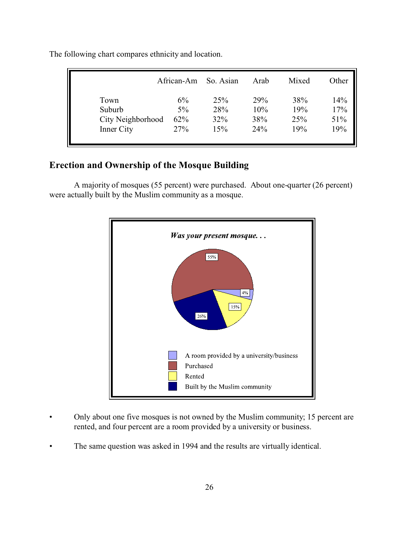|                                                   | African-Am                | So. Asian                | Arab                     | Mixed                    | Other                    |
|---------------------------------------------------|---------------------------|--------------------------|--------------------------|--------------------------|--------------------------|
| Town<br>Suburb<br>City Neighborhood<br>Inner City | 6%<br>$5\%$<br>62%<br>27% | 25%<br>28%<br>32%<br>15% | 29%<br>10%<br>38%<br>24% | 38%<br>19%<br>25%<br>19% | 14%<br>17%<br>51%<br>19% |
|                                                   |                           |                          |                          |                          |                          |

The following chart compares ethnicity and location.

# **Erection and Ownership of the Mosque Building**

A majority of mosques (55 percent) were purchased. About one-quarter (26 percent) were actually built by the Muslim community as a mosque.



- Only about one five mosques is not owned by the Muslim community; 15 percent are rented, and four percent are a room provided by a university or business.
- The same question was asked in 1994 and the results are virtually identical.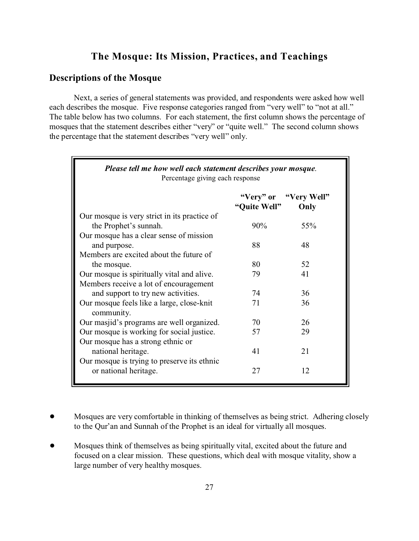# **The Mosque: Its Mission, Practices, and Teachings**

# **Descriptions of the Mosque**

Next, a series of general statements was provided, and respondents were asked how well each describes the mosque. Five response categories ranged from "very well" to "not at all." The table below has two columns. For each statement, the first column shows the percentage of mosques that the statement describes either "very" or "quite well." The second column shows the percentage that the statement describes "very well" only.

| Please tell me how well each statement describes your mosque.<br>Percentage giving each response |              |                               |
|--------------------------------------------------------------------------------------------------|--------------|-------------------------------|
|                                                                                                  | "Quite Well" | "Very" or "Very Well"<br>Only |
| Our mosque is very strict in its practice of                                                     |              |                               |
| the Prophet's sunnah.                                                                            | $90\%$       | 55%                           |
| Our mosque has a clear sense of mission                                                          |              |                               |
| and purpose.                                                                                     | 88           | 48                            |
| Members are excited about the future of                                                          |              |                               |
| the mosque.                                                                                      | 80           | 52                            |
| Our mosque is spiritually vital and alive.                                                       | 79           | 41                            |
| Members receive a lot of encouragement                                                           |              |                               |
| and support to try new activities.                                                               | 74           | 36                            |
| Our mosque feels like a large, close-knit<br>community.                                          | 71           | 36                            |
| Our masjid's programs are well organized.                                                        | 70           | 26                            |
| Our mosque is working for social justice.                                                        | 57           | 29                            |
| Our mosque has a strong ethnic or                                                                |              |                               |
| national heritage.                                                                               | 41           | 21                            |
| Our mosque is trying to preserve its ethnic                                                      |              |                               |
| or national heritage.                                                                            | 27           | 12                            |

- ! Mosques are very comfortable in thinking of themselves as being strict. Adhering closely to the Qur'an and Sunnah of the Prophet is an ideal for virtually all mosques.
- Mosques think of themselves as being spiritually vital, excited about the future and focused on a clear mission. These questions, which deal with mosque vitality, show a large number of very healthy mosques.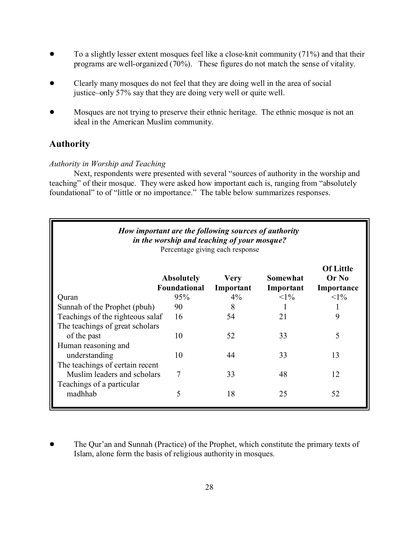- To a slightly lesser extent mosques feel like a close-knit community (71%) and that their programs are well-organized (70%). These figures do not match the sense of vitality.
- Clearly many mosques do not feel that they are doing well in the area of social justice–only 57% say that they are doing very well or quite well.
- Mosques are not trying to preserve their ethnic heritage. The ethnic mosque is not an ideal in the American Muslim community.

# **Authority**

#### *Authority in Worship and Teaching*

Next, respondents were presented with several "sources of authority in the worship and teaching" of their mosque. They were asked how important each is, ranging from "absolutely foundational" to of "little or no importance." The table below summarizes responses.

| How important are the following sources of authority<br>in the worship and teaching of your mosque?<br>Percentage giving each response |                                          |                          |                       |                                         |  |  |
|----------------------------------------------------------------------------------------------------------------------------------------|------------------------------------------|--------------------------|-----------------------|-----------------------------------------|--|--|
|                                                                                                                                        | <b>Absolutely</b><br><b>Foundational</b> | <b>Very</b><br>Important | Somewhat<br>Important | <b>Of Little</b><br>Or No<br>Importance |  |  |
| Quran                                                                                                                                  | 95%                                      | $4\%$                    | $<1\%$                | $<\!\!1\%$                              |  |  |
| Sunnah of the Prophet (pbuh)                                                                                                           | 90                                       | 8                        |                       |                                         |  |  |
| Teachings of the righteous salaf                                                                                                       | 16                                       | 54                       | 21                    | 9                                       |  |  |
| The teachings of great scholars                                                                                                        |                                          |                          |                       |                                         |  |  |
| of the past                                                                                                                            | 10                                       | 52                       | 33                    | 5                                       |  |  |
| Human reasoning and                                                                                                                    |                                          |                          |                       |                                         |  |  |
| understanding                                                                                                                          | 10                                       | 44                       | 33                    | 13                                      |  |  |
| The teachings of certain recent                                                                                                        |                                          |                          |                       |                                         |  |  |
| Muslim leaders and scholars                                                                                                            | 7                                        | 33                       | 48                    | 12                                      |  |  |
| Teachings of a particular                                                                                                              |                                          |                          |                       |                                         |  |  |
| madhhab                                                                                                                                | 5                                        | 18                       | 25                    | 52                                      |  |  |

• The Qur'an and Sunnah (Practice) of the Prophet, which constitute the primary texts of Islam, alone form the basis of religious authority in mosques.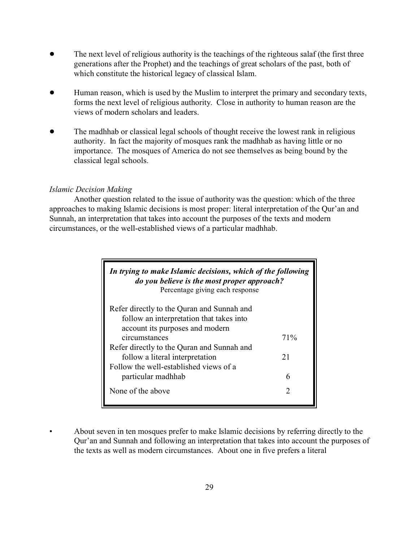- The next level of religious authority is the teachings of the righteous salaf (the first three generations after the Prophet) and the teachings of great scholars of the past, both of which constitute the historical legacy of classical Islam.
- ! Human reason, which is used by the Muslim to interpret the primary and secondary texts, forms the next level of religious authority. Close in authority to human reason are the views of modern scholars and leaders.
- The madhhab or classical legal schools of thought receive the lowest rank in religious authority. In fact the majority of mosques rank the madhhab as having little or no importance. The mosques of America do not see themselves as being bound by the classical legal schools.

#### *Islamic Decision Making*

Another question related to the issue of authority was the question: which of the three approaches to making Islamic decisions is most proper: literal interpretation of the Qur'an and Sunnah, an interpretation that takes into account the purposes of the texts and modern circumstances, or the well-established views of a particular madhhab.

| In trying to make Islamic decisions, which of the following<br><i>do you believe is the most proper approach?</i><br>Percentage giving each response |        |
|------------------------------------------------------------------------------------------------------------------------------------------------------|--------|
| Refer directly to the Quran and Sunnah and<br>follow an interpretation that takes into<br>account its purposes and modern<br>circumstances           | 71%    |
| Refer directly to the Quran and Sunnah and<br>follow a literal interpretation<br>Follow the well-established views of a                              | 21     |
| particular madhhab<br>None of the above                                                                                                              | 6<br>2 |

• About seven in ten mosques prefer to make Islamic decisions by referring directly to the Qur'an and Sunnah and following an interpretation that takes into account the purposes of the texts as well as modern circumstances. About one in five prefers a literal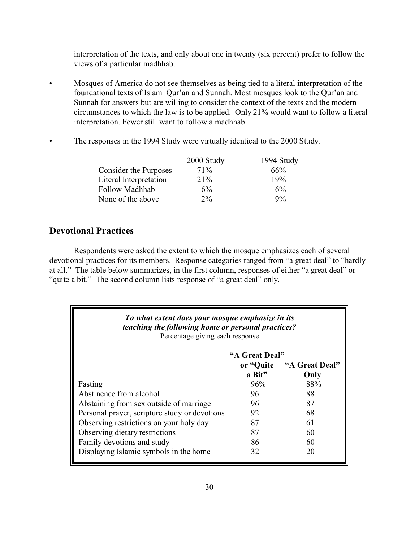interpretation of the texts, and only about one in twenty (six percent) prefer to follow the views of a particular madhhab.

- Mosques of America do not see themselves as being tied to a literal interpretation of the foundational texts of Islam–Qur'an and Sunnah. Most mosques look to the Qur'an and Sunnah for answers but are willing to consider the context of the texts and the modern circumstances to which the law is to be applied. Only 21% would want to follow a literal interpretation. Fewer still want to follow a madhhab.
- The responses in the 1994 Study were virtually identical to the 2000 Study.

|                        | 2000 Study | 1994 Study |
|------------------------|------------|------------|
| Consider the Purposes  | $71\%$     | $66\%$     |
| Literal Interpretation | 21%        | 19%        |
| Follow Madhhab         | $6\%$      | 6%         |
| None of the above      | $2\%$      | $9\%$      |

### **Devotional Practices**

Respondents were asked the extent to which the mosque emphasizes each of several devotional practices for its members. Response categories ranged from "a great deal" to "hardly at all." The table below summarizes, in the first column, responses of either "a great deal" or "quite a bit." The second column lists response of "a great deal" only.

| To what extent does your mosque emphasize in its<br>teaching the following home or personal practices?<br>Percentage giving each response |                |                |  |  |
|-------------------------------------------------------------------------------------------------------------------------------------------|----------------|----------------|--|--|
|                                                                                                                                           | "A Great Deal" |                |  |  |
|                                                                                                                                           | or "Quite      | "A Great Deal" |  |  |
|                                                                                                                                           | a Bit"         | Only           |  |  |
| Fasting                                                                                                                                   | 96%            | 88%            |  |  |
| Abstinence from alcohol                                                                                                                   | 96             | 88             |  |  |
| Abstaining from sex outside of marriage                                                                                                   | 96             | 87             |  |  |
| Personal prayer, scripture study or devotions                                                                                             | 92             | 68             |  |  |
| Observing restrictions on your holy day                                                                                                   | 87             | 61             |  |  |
| Observing dietary restrictions                                                                                                            | 87             | 60             |  |  |
| Family devotions and study                                                                                                                | 86             | 60             |  |  |
| Displaying Islamic symbols in the home                                                                                                    | 32             | 20             |  |  |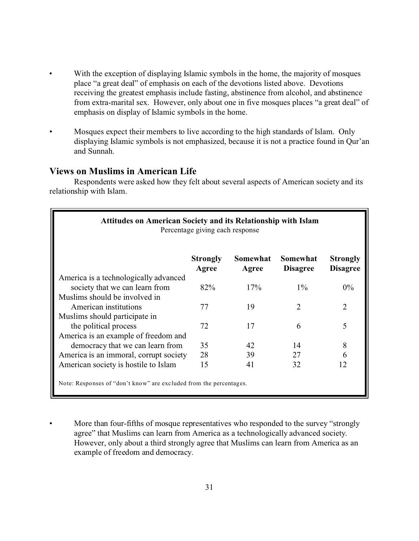- With the exception of displaying Islamic symbols in the home, the majority of mosques place "a great deal" of emphasis on each of the devotions listed above. Devotions receiving the greatest emphasis include fasting, abstinence from alcohol, and abstinence from extra-marital sex. However, only about one in five mosques places "a great deal" of emphasis on display of Islamic symbols in the home.
- Mosques expect their members to live according to the high standards of Islam.Only displaying Islamic symbols is not emphasized, because it is not a practice found in Qur'an and Sunnah.

### **Views on Muslims in American Life**

Respondents were asked how they felt about several aspects of American society and its relationship with Islam.

| <b>Attitudes on American Society and its Relationship with Islam</b><br>Percentage giving each response |                          |                   |                             |                                    |
|---------------------------------------------------------------------------------------------------------|--------------------------|-------------------|-----------------------------|------------------------------------|
|                                                                                                         | <b>Strongly</b><br>Agree | Somewhat<br>Agree | Somewhat<br><b>Disagree</b> | <b>Strongly</b><br><b>Disagree</b> |
| America is a technologically advanced                                                                   |                          |                   |                             |                                    |
| society that we can learn from                                                                          | 82%                      | 17%               | $1\%$                       | $0\%$                              |
| Muslims should be involved in                                                                           |                          |                   |                             |                                    |
| American institutions                                                                                   | 77                       | 19                | $\mathcal{D}_{\mathcal{L}}$ | $\overline{2}$                     |
| Muslims should participate in                                                                           |                          |                   |                             |                                    |
| the political process                                                                                   | 72                       | 17                | 6                           | 5                                  |
| America is an example of freedom and                                                                    |                          |                   |                             |                                    |
| democracy that we can learn from                                                                        | 35                       | 42                | 14                          | 8                                  |
| America is an immoral, corrupt society                                                                  | 28                       | 39                | 27                          | 6                                  |
| American society is hostile to Islam                                                                    | 15                       | 41                | 32                          | 12                                 |
| Note: Responses of "don't know" are excluded from the percentages.                                      |                          |                   |                             |                                    |

More than four-fifths of mosque representatives who responded to the survey "strongly" agree" that Muslims can learn from America as a technologically advanced society. However, only about a third strongly agree that Muslims can learn from America as an example of freedom and democracy.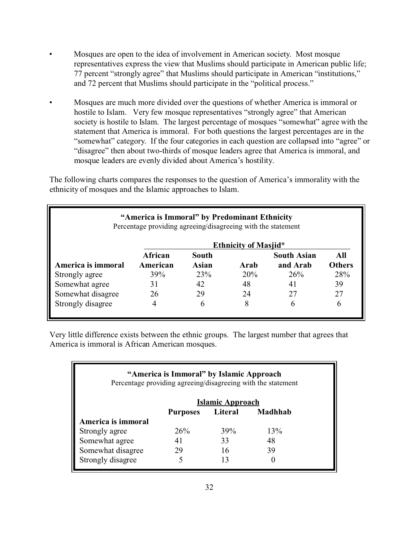- Mosques are open to the idea of involvement in American society. Most mosque representatives express the view that Muslims should participate in American public life; 77 percent "strongly agree" that Muslims should participate in American "institutions," and 72 percent that Muslims should participate in the "political process."
- Mosques are much more divided over the questions of whether America is immoral or hostile to Islam. Very few mosque representatives "strongly agree" that American society is hostile to Islam. The largest percentage of mosques "somewhat" agree with the statement that America is immoral. For both questions the largest percentages are in the "somewhat" category. If the four categories in each question are collapsed into "agree" or "disagree" then about two-thirds of mosque leaders agree that America is immoral, and mosque leaders are evenly divided about America's hostility.

The following charts compares the responses to the question of America's immorality with the ethnicity of mosques and the Islamic approaches to Islam.

| "America is Immoral" by Predominant Ethnicity<br>Percentage providing agreeing/disagreeing with the statement |          |       |                             |                    |               |  |  |
|---------------------------------------------------------------------------------------------------------------|----------|-------|-----------------------------|--------------------|---------------|--|--|
|                                                                                                               |          |       | <b>Ethnicity of Masjid*</b> |                    |               |  |  |
|                                                                                                               | African  | South |                             | <b>South Asian</b> | All           |  |  |
| America is immoral                                                                                            | American | Asian | Arab                        | and Arab           | <b>Others</b> |  |  |
| Strongly agree                                                                                                | 39%      | 23%   | 20%                         | 26%                | 28%           |  |  |
| Somewhat agree                                                                                                | 31       | 42    | 48                          | 41                 | 39            |  |  |
| Somewhat disagree                                                                                             | 26       | 29    | 24                          | 27                 | 27            |  |  |
| Strongly disagree                                                                                             |          | 6     | 8                           | 6                  | h             |  |  |

Very little difference exists between the ethnic groups. The largest number that agrees that America is immoral is African American mosques.

# **"America is Immoral" by Islamic Approach** Percentage providing agreeing/disagreeing with the statement **Islamic Approach Purposes Literal Madhhab America is immoral** Strongly agree 26% 39% 13% Somewhat agree 41 33 48 Somewhat disagree 29 16 39 Strongly disagree 5 13 0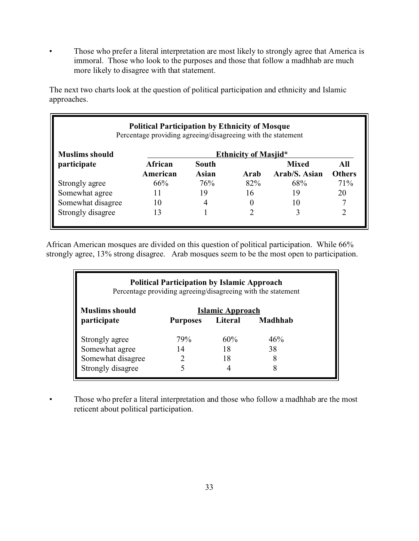• Those who prefer a literal interpretation are most likely to strongly agree that America is immoral. Those who look to the purposes and those that follow a madhhab are much more likely to disagree with that statement.

The next two charts look at the question of political participation and ethnicity and Islamic approaches.

| <b>Political Participation by Ethnicity of Mosque</b><br>Percentage providing agreeing/disagreeing with the statement |          |              |                             |               |               |  |
|-----------------------------------------------------------------------------------------------------------------------|----------|--------------|-----------------------------|---------------|---------------|--|
| <b>Muslims should</b>                                                                                                 |          |              | <b>Ethnicity of Masjid*</b> |               |               |  |
| participate                                                                                                           | African  | South        |                             | <b>Mixed</b>  | All           |  |
|                                                                                                                       | American | <b>Asian</b> | Arab                        | Arab/S. Asian | <b>Others</b> |  |
| Strongly agree                                                                                                        | 66%      | 76%          | 82%                         | 68%           | 71%           |  |
| Somewhat agree                                                                                                        | 11       | 19           | 16                          | 19            | 20            |  |
| Somewhat disagree                                                                                                     | 10       |              |                             | 10            |               |  |
| Strongly disagree                                                                                                     | 13       |              |                             |               |               |  |

African American mosques are divided on this question of political participation. While 66% strongly agree, 13% strong disagree. Arab mosques seem to be the most open to participation.

| <b>Political Participation by Islamic Approach</b><br>Percentage providing agreeing/disagreeing with the statement |                 |                  |         |  |  |  |  |
|--------------------------------------------------------------------------------------------------------------------|-----------------|------------------|---------|--|--|--|--|
| <b>Muslims should</b>                                                                                              |                 | Islamic Approach |         |  |  |  |  |
| participate                                                                                                        | <b>Purposes</b> | Literal          | Madhhab |  |  |  |  |
| Strongly agree                                                                                                     | 79%             | 60%              | 46%     |  |  |  |  |
| Somewhat agree                                                                                                     | 14              | 18               | 38      |  |  |  |  |
| Somewhat disagree                                                                                                  |                 | 18               |         |  |  |  |  |
| Strongly disagree                                                                                                  |                 |                  |         |  |  |  |  |

• Those who prefer a literal interpretation and those who follow a madhhab are the most reticent about political participation.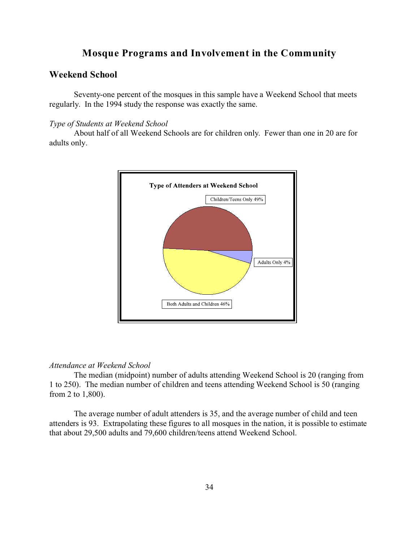## **Mosque Programs and Involvement in the Community**

### **Weekend School**

Seventy-one percent of the mosques in this sample have a Weekend School that meets regularly. In the 1994 study the response was exactly the same.

#### *Type of Students at Weekend School*

About half of all Weekend Schools are for children only. Fewer than one in 20 are for adults only.



### *Attendance at Weekend School*

The median (midpoint) number of adults attending Weekend School is 20 (ranging from 1 to 250). The median number of children and teens attending Weekend School is 50 (ranging from 2 to 1,800).

The average number of adult attenders is 35, and the average number of child and teen attenders is 93. Extrapolating these figures to all mosques in the nation, it is possible to estimate that about 29,500 adults and 79,600 children/teens attend Weekend School.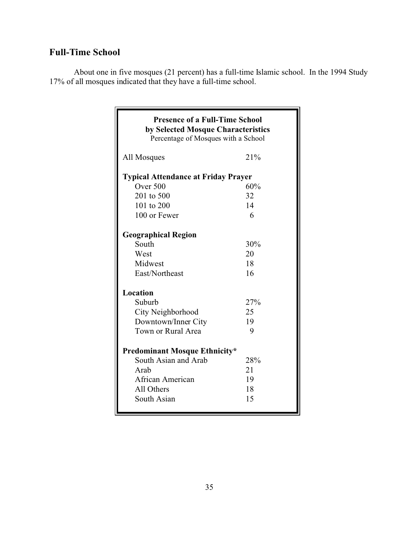# **Full-Time School**

About one in five mosques (21 percent) has a full-time Islamic school. In the 1994 Study 17% of all mosques indicated that they have a full-time school.

| <b>Presence of a Full-Time School</b><br>by Selected Mosque Characteristics<br>Percentage of Mosques with a School |     |  |  |  |  |
|--------------------------------------------------------------------------------------------------------------------|-----|--|--|--|--|
| All Mosques                                                                                                        | 21% |  |  |  |  |
| <b>Typical Attendance at Friday Prayer</b>                                                                         |     |  |  |  |  |
| Over 500                                                                                                           | 60% |  |  |  |  |
| 201 to 500                                                                                                         | 32  |  |  |  |  |
| 101 to 200                                                                                                         | 14  |  |  |  |  |
| 100 or Fewer                                                                                                       | 6   |  |  |  |  |
| <b>Geographical Region</b>                                                                                         |     |  |  |  |  |
| South                                                                                                              | 30% |  |  |  |  |
| West                                                                                                               | 20  |  |  |  |  |
| Midwest                                                                                                            | 18  |  |  |  |  |
| East/Northeast                                                                                                     | 16  |  |  |  |  |
| Location                                                                                                           |     |  |  |  |  |
| Suburb                                                                                                             | 27% |  |  |  |  |
| City Neighborhood                                                                                                  | 25  |  |  |  |  |
| Downtown/Inner City                                                                                                | 19  |  |  |  |  |
| Town or Rural Area                                                                                                 | 9   |  |  |  |  |
| <b>Predominant Mosque Ethnicity*</b>                                                                               |     |  |  |  |  |
| South Asian and Arab                                                                                               | 28% |  |  |  |  |
| Arab                                                                                                               | 21  |  |  |  |  |
| African American                                                                                                   | 19  |  |  |  |  |
| All Others                                                                                                         | 18  |  |  |  |  |
| South Asian                                                                                                        | 15  |  |  |  |  |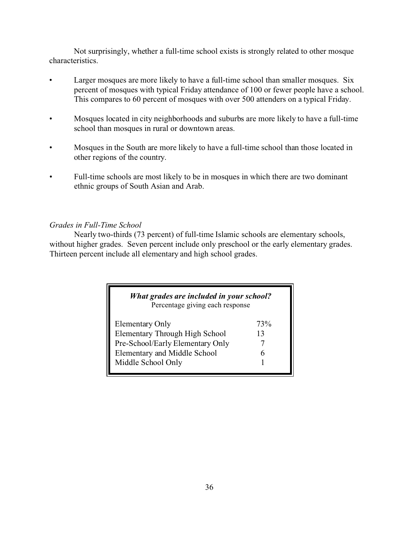Not surprisingly, whether a full-time school exists is strongly related to other mosque characteristics.

- Larger mosques are more likely to have a full-time school than smaller mosques. Six percent of mosques with typical Friday attendance of 100 or fewer people have a school. This compares to 60 percent of mosques with over 500 attenders on a typical Friday.
- Mosques located in city neighborhoods and suburbs are more likely to have a full-time school than mosques in rural or downtown areas.
- Mosques in the South are more likely to have a full-time school than those located in other regions of the country.
- Full-time schools are most likely to be in mosques in which there are two dominant ethnic groups of South Asian and Arab.

### *Grades in Full-Time School*

Nearly two-thirds (73 percent) of full-time Islamic schools are elementary schools, without higher grades. Seven percent include only preschool or the early elementary grades. Thirteen percent include all elementary and high school grades.

| What grades are included in your school?<br>Percentage giving each response |     |
|-----------------------------------------------------------------------------|-----|
| Elementary Only                                                             | 73% |
| <b>Elementary Through High School</b>                                       | 13  |
| Pre-School/Early Elementary Only                                            |     |
| <b>Elementary and Middle School</b>                                         |     |
| Middle School Only                                                          |     |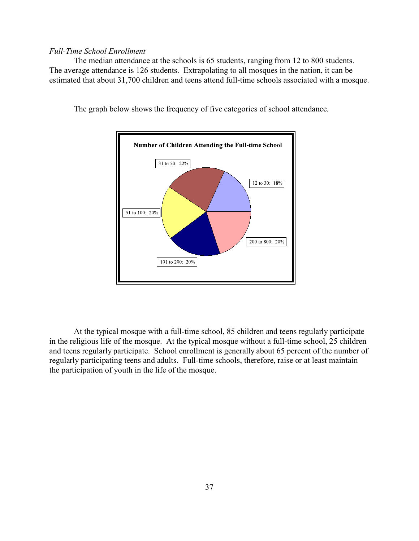### *Full-Time School Enrollment*

The median attendance at the schools is 65 students, ranging from 12 to 800 students. The average attendance is 126 students. Extrapolating to all mosques in the nation, it can be estimated that about 31,700 children and teens attend full-time schools associated with a mosque.



The graph below shows the frequency of five categories of school attendance.

At the typical mosque with a full-time school, 85 children and teens regularly participate in the religious life of the mosque. At the typical mosque without a full-time school, 25 children and teens regularly participate. School enrollment is generally about 65 percent of the number of regularly participating teens and adults. Full-time schools, therefore, raise or at least maintain the participation of youth in the life of the mosque.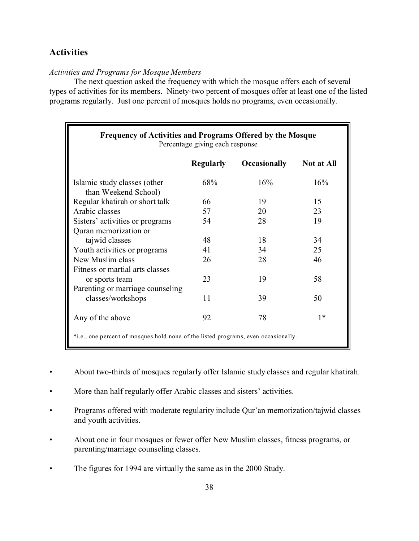## **Activities**

#### *Activities and Programs for Mosque Members*

The next question asked the frequency with which the mosque offers each of several types of activities for its members. Ninety-two percent of mosques offer at least one of the listed programs regularly. Just one percent of mosques holds no programs, even occasionally.

| <b>Frequency of Activities and Programs Offered by the Mosque</b><br>Percentage giving each response |                  |                     |                   |  |  |  |  |
|------------------------------------------------------------------------------------------------------|------------------|---------------------|-------------------|--|--|--|--|
|                                                                                                      | <b>Regularly</b> | <b>Occasionally</b> | <b>Not at All</b> |  |  |  |  |
| Islamic study classes (other<br>than Weekend School)                                                 | 68%              | 16%                 | 16%               |  |  |  |  |
| Regular khatirah or short talk                                                                       | 66               | 19                  | 15                |  |  |  |  |
| Arabic classes                                                                                       | 57               | 20                  | 23                |  |  |  |  |
| Sisters' activities or programs                                                                      | 54               | 28                  | 19                |  |  |  |  |
| Quran memorization or                                                                                |                  |                     |                   |  |  |  |  |
| tajwid classes                                                                                       | 48               | 18                  | 34                |  |  |  |  |
| Youth activities or programs                                                                         | 41               | 34                  | 25                |  |  |  |  |
| New Muslim class                                                                                     | 26               | 28                  | 46                |  |  |  |  |
| Fitness or martial arts classes                                                                      |                  |                     |                   |  |  |  |  |
| or sports team                                                                                       | 23               | 19                  | 58                |  |  |  |  |
| Parenting or marriage counseling                                                                     |                  |                     |                   |  |  |  |  |
| classes/workshops                                                                                    | 11               | 39                  | 50                |  |  |  |  |
| Any of the above                                                                                     | 92               | 78                  | $1*$              |  |  |  |  |
| *i.e., one percent of mosques hold none of the listed programs, even occasionally.                   |                  |                     |                   |  |  |  |  |

- About two-thirds of mosques regularly offer Islamic study classes and regular khatirah.
- More than half regularly offer Arabic classes and sisters' activities.
- Programs offered with moderate regularity include Qur'an memorization/tajwid classes and youth activities.
- About one in four mosques or fewer offer New Muslim classes, fitness programs, or parenting/marriage counseling classes.
- The figures for 1994 are virtually the same as in the 2000 Study.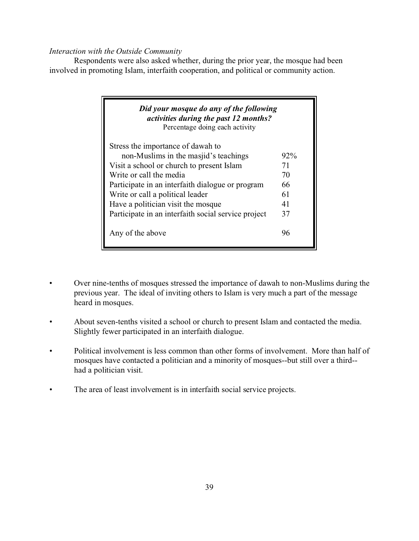### *Interaction with the Outside Community*

Respondents were also asked whether, during the prior year, the mosque had been involved in promoting Islam, interfaith cooperation, and political or community action.

| Did your mosque do any of the following<br>activities during the past 12 months?<br>Percentage doing each activity |        |
|--------------------------------------------------------------------------------------------------------------------|--------|
| Stress the importance of dawah to                                                                                  |        |
| non-Muslims in the masjid's teachings                                                                              | $92\%$ |
| Visit a school or church to present Islam                                                                          | 71     |
| Write or call the media                                                                                            | 70     |
| Participate in an interfaith dialogue or program                                                                   | 66     |
| Write or call a political leader                                                                                   | 61     |
| Have a politician visit the mosque                                                                                 | 41     |
| Participate in an interfaith social service project                                                                | 37     |
| Any of the above                                                                                                   |        |

- Over nine-tenths of mosques stressed the importance of dawah to non-Muslims during the previous year. The ideal of inviting others to Islam is very much a part of the message heard in mosques.
- About seven-tenths visited a school or church to present Islam and contacted the media. Slightly fewer participated in an interfaith dialogue.
- Political involvement is less common than other forms of involvement. More than half of mosques have contacted a politician and a minority of mosques--but still over a third- had a politician visit.
- The area of least involvement is in interfaith social service projects.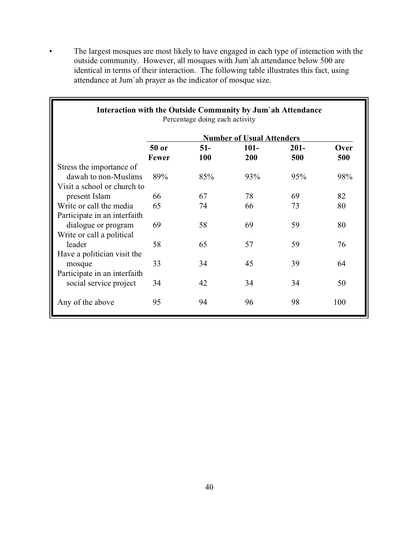• The largest mosques are most likely to have engaged in each type of interaction with the outside community. However, all mosques with Jum`ah attendance below 500 are identical in terms of their interaction. The following table illustrates this fact, using attendance at Jum`ah prayer as the indicator of mosque size.

| Interaction with the Outside Community by Jum'ah Attendance |              | Percentage doing each activity |                                  |         |      |
|-------------------------------------------------------------|--------------|--------------------------------|----------------------------------|---------|------|
|                                                             |              |                                | <b>Number of Usual Attenders</b> |         |      |
|                                                             | 50 or        | $51-$                          | $101 -$                          | $201 -$ | Over |
|                                                             | <b>Fewer</b> | 100                            | <b>200</b>                       | 500     | 500  |
| Stress the importance of                                    |              |                                |                                  |         |      |
| dawah to non-Muslims                                        | 89%          | 85%                            | 93%                              | 95%     | 98%  |
| Visit a school or church to                                 |              |                                |                                  |         |      |
| present Islam                                               | 66           | 67                             | 78                               | 69      | 82   |
| Write or call the media                                     | 65           | 74                             | 66                               | 73      | 80   |
| Participate in an interfaith                                |              |                                |                                  |         |      |
| dialogue or program                                         | 69           | 58                             | 69                               | 59      | 80   |
| Write or call a political                                   |              |                                |                                  |         |      |
| leader                                                      | 58           | 65                             | 57                               | 59      | 76   |
| Have a politician visit the                                 |              |                                |                                  |         |      |
| mosque                                                      | 33           | 34                             | 45                               | 39      | 64   |
| Participate in an interfaith                                |              |                                |                                  |         |      |
| social service project                                      | 34           | 42                             | 34                               | 34      | 50   |
| Any of the above                                            | 95           | 94                             | 96                               | 98      | 100  |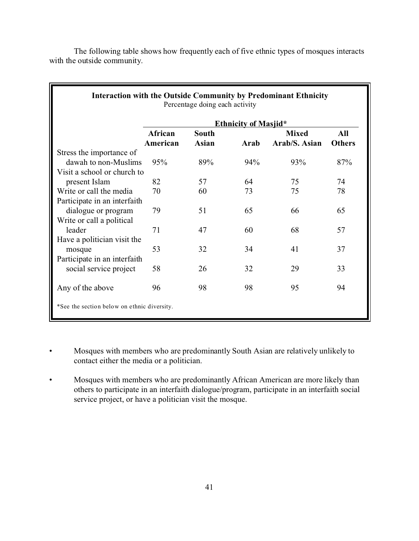| <b>Interaction with the Outside Community by Predominant Ethnicity</b><br>Percentage doing each activity |                     |                              |                             |                               |                      |  |
|----------------------------------------------------------------------------------------------------------|---------------------|------------------------------|-----------------------------|-------------------------------|----------------------|--|
|                                                                                                          |                     |                              | <b>Ethnicity of Masjid*</b> |                               |                      |  |
|                                                                                                          | African<br>American | <b>South</b><br><b>Asian</b> | Arab                        | <b>Mixed</b><br>Arab/S. Asian | All<br><b>Others</b> |  |
| Stress the importance of                                                                                 |                     |                              |                             |                               |                      |  |
| dawah to non-Muslims                                                                                     | 95%                 | 89%                          | 94%                         | 93%                           | 87%                  |  |
| Visit a school or church to                                                                              |                     |                              |                             |                               |                      |  |
| present Islam                                                                                            | 82                  | 57                           | 64                          | 75                            | 74                   |  |
| Write or call the media                                                                                  | 70                  | 60                           | 73                          | 75                            | 78                   |  |
| Participate in an interfaith                                                                             |                     |                              |                             |                               |                      |  |
| dialogue or program                                                                                      | 79                  | 51                           | 65                          | 66                            | 65                   |  |
| Write or call a political                                                                                |                     |                              |                             |                               |                      |  |
| leader                                                                                                   | 71                  | 47                           | 60                          | 68                            | 57                   |  |
| Have a politician visit the                                                                              |                     |                              |                             |                               |                      |  |
| mosque                                                                                                   | 53                  | 32                           | 34                          | 41                            | 37                   |  |
| Participate in an interfaith                                                                             |                     |                              |                             |                               |                      |  |
| social service project                                                                                   | 58                  | 26                           | 32                          | 29                            | 33                   |  |
|                                                                                                          |                     |                              |                             |                               |                      |  |
| Any of the above                                                                                         | 96                  | 98                           | 98                          | 95                            | 94                   |  |
| *See the section below on ethnic diversity.                                                              |                     |                              |                             |                               |                      |  |

The following table shows how frequently each of five ethnic types of mosques interacts with the outside community.

- Mosques with members who are predominantly South Asian are relatively unlikely to contact either the media or a politician.
- Mosques with members who are predominantly African American are more likely than others to participate in an interfaith dialogue/program, participate in an interfaith social service project, or have a politician visit the mosque.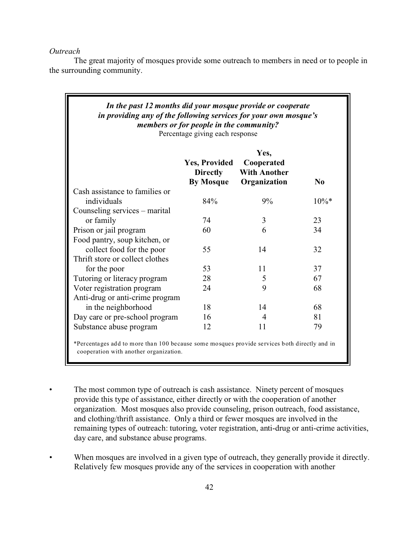*Outreach*

The great majority of mosques provide some outreach to members in need or to people in the surrounding community.

| In the past 12 months did your mosque provide or cooperate<br>in providing any of the following services for your own mosque's<br>members or for people in the community?<br>Percentage giving each response |                                                             |                                                           |          |  |  |  |  |
|--------------------------------------------------------------------------------------------------------------------------------------------------------------------------------------------------------------|-------------------------------------------------------------|-----------------------------------------------------------|----------|--|--|--|--|
|                                                                                                                                                                                                              | <b>Yes, Provided</b><br><b>Directly</b><br><b>By Mosque</b> | Yes,<br>Cooperated<br><b>With Another</b><br>Organization | $\bf No$ |  |  |  |  |
| Cash assistance to families or                                                                                                                                                                               |                                                             |                                                           |          |  |  |  |  |
| individuals                                                                                                                                                                                                  | 84%                                                         | 9%                                                        | $10\%$ * |  |  |  |  |
| Counseling services – marital                                                                                                                                                                                |                                                             |                                                           |          |  |  |  |  |
| or family                                                                                                                                                                                                    | 74                                                          | 3                                                         | 23       |  |  |  |  |
| Prison or jail program                                                                                                                                                                                       | 60                                                          | 6                                                         | 34       |  |  |  |  |
| Food pantry, soup kitchen, or                                                                                                                                                                                |                                                             |                                                           |          |  |  |  |  |
| collect food for the poor                                                                                                                                                                                    | 55                                                          | 14                                                        | 32       |  |  |  |  |
| Thrift store or collect clothes                                                                                                                                                                              |                                                             |                                                           |          |  |  |  |  |
| for the poor                                                                                                                                                                                                 | 53                                                          | 11                                                        | 37       |  |  |  |  |
| Tutoring or literacy program                                                                                                                                                                                 | 28                                                          | 5                                                         | 67       |  |  |  |  |
| Voter registration program                                                                                                                                                                                   | 24                                                          | 9                                                         | 68       |  |  |  |  |
| Anti-drug or anti-crime program                                                                                                                                                                              |                                                             |                                                           |          |  |  |  |  |
| in the neighborhood                                                                                                                                                                                          | 18                                                          | 14                                                        | 68       |  |  |  |  |
| Day care or pre-school program                                                                                                                                                                               | 16                                                          | 4                                                         | 81       |  |  |  |  |
| Substance abuse program                                                                                                                                                                                      | 12                                                          | 11                                                        | 79       |  |  |  |  |

The most common type of outreach is cash assistance. Ninety percent of mosques provide this type of assistance, either directly or with the cooperation of another organization. Most mosques also provide counseling, prison outreach, food assistance, and clothing/thrift assistance. Only a third or fewer mosques are involved in the remaining types of outreach: tutoring, voter registration, anti-drug or anti-crime activities, day care, and substance abuse programs.

When mosques are involved in a given type of outreach, they generally provide it directly. Relatively few mosques provide any of the services in cooperation with another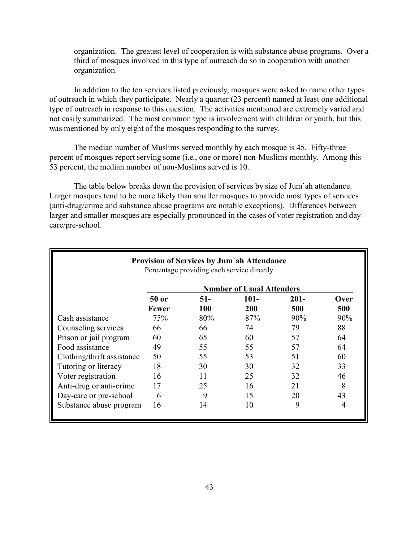organization. The greatest level of cooperation is with substance abuse programs. Over a third of mosques involved in this type of outreach do so in cooperation with another organization.

In addition to the ten services listed previously, mosques were asked to name other types of outreach in which they participate. Nearly a quarter (23 percent) named at least one additional type of outreach in response to this question. The activities mentioned are extremely varied and not easily summarized. The most common type is involvement with children or youth, but this was mentioned by only eight of the mosques responding to the survey.

The median number of Muslims served monthly by each mosque is 45. Fifty-three percent of mosques report serving some (i.e., one or more) non-Muslims monthly. Among this 53 percent, the median number of non-Muslims served is 10.

The table below breaks down the provision of services by size of Jum`ah attendance. Larger mosques tend to be more likely than smaller mosques to provide most types of services (anti-drug/crime and substance abuse programs are notable exceptions). Differences between larger and smaller mosques are especially pronounced in the cases of voter registration and daycare/pre-school.

|                            |       |            | <b>Provision of Services by Jum'ah Attendance</b><br>Percentage providing each service directly |         |        |
|----------------------------|-------|------------|-------------------------------------------------------------------------------------------------|---------|--------|
|                            |       |            | <b>Number of Usual Attenders</b>                                                                |         |        |
|                            | 50 or | $51-$      | $101 -$                                                                                         | $201 -$ | Over   |
|                            | Fewer | <b>100</b> | <b>200</b>                                                                                      | 500     | 500    |
| Cash assistance            | 75%   | 80%        | 87%                                                                                             | 90%     | $90\%$ |
| Counseling services        | 66    | 66         | 74                                                                                              | 79      | 88     |
| Prison or jail program     | 60    | 65         | 60                                                                                              | 57      | 64     |
| Food assistance            | 49    | 55         | 55                                                                                              | 57      | 64     |
| Clothing/thrift assistance | 50    | 55         | 53                                                                                              | 51      | 60     |
| Tutoring or literacy       | 18    | 30         | 30                                                                                              | 32      | 33     |
| Voter registration         | 16    | 11         | 25                                                                                              | 32      | 46     |
| Anti-drug or anti-crime    | 17    | 25         | 16                                                                                              | 21      | 8      |
| Day-care or pre-school     | 6     | 9          | 15                                                                                              | 20      | 43     |
| Substance abuse program    | 16    | 14         | 10                                                                                              | 9       | 4      |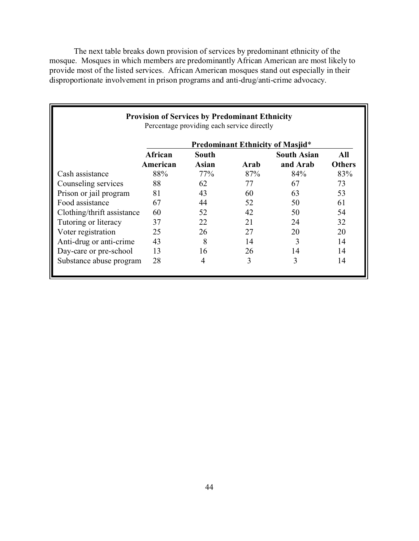The next table breaks down provision of services by predominant ethnicity of the mosque. Mosques in which members are predominantly African American are most likely to provide most of the listed services. African American mosques stand out especially in their disproportionate involvement in prison programs and anti-drug/anti-crime advocacy.

|                            | <b>Provision of Services by Predominant Ethnicity</b> | Percentage providing each service directly |      |                                         |               |
|----------------------------|-------------------------------------------------------|--------------------------------------------|------|-----------------------------------------|---------------|
|                            |                                                       |                                            |      | <b>Predominant Ethnicity of Masjid*</b> |               |
|                            | African                                               | South                                      |      | <b>South Asian</b>                      | All           |
|                            | American                                              | Asian                                      | Arab | and Arab                                | <b>Others</b> |
| Cash assistance            | 88%                                                   | 77%                                        | 87%  | 84%                                     | 83%           |
| Counseling services        | 88                                                    | 62                                         | 77   | 67                                      | 73            |
| Prison or jail program     | 81                                                    | 43                                         | 60   | 63                                      | 53            |
| Food assistance            | 67                                                    | 44                                         | 52   | 50                                      | 61            |
| Clothing/thrift assistance | 60                                                    | 52                                         | 42   | 50                                      | 54            |
| Tutoring or literacy       | 37                                                    | 22                                         | 21   | 24                                      | 32            |
| Voter registration         | 25                                                    | 26                                         | 27   | 20                                      | 20            |
| Anti-drug or anti-crime    | 43                                                    | 8                                          | 14   | 3                                       | 14            |
| Day-care or pre-school     | 13                                                    | 16                                         | 26   | 14                                      | 14            |
| Substance abuse program    | 28                                                    | 4                                          | 3    | 3                                       | 14            |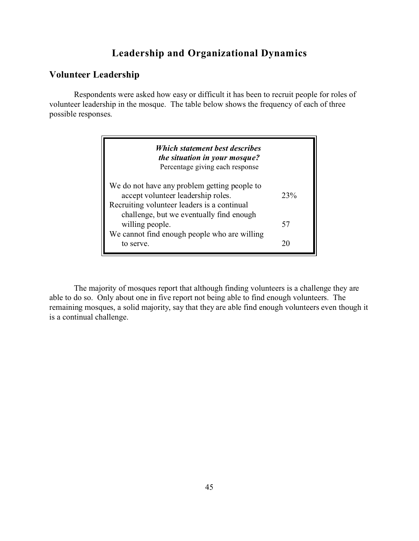# **Leadership and Organizational Dynamics**

### **Volunteer Leadership**

Respondents were asked how easy or difficult it has been to recruit people for roles of volunteer leadership in the mosque. The table below shows the frequency of each of three possible responses.

| Which statement best describes<br>the situation in your mosque?<br>Percentage giving each response                                                                            |     |
|-------------------------------------------------------------------------------------------------------------------------------------------------------------------------------|-----|
| We do not have any problem getting people to<br>accept volunteer leadership roles.<br>Recruiting volunteer leaders is a continual<br>challenge, but we eventually find enough | 23% |
| willing people.                                                                                                                                                               | 57  |
| We cannot find enough people who are willing<br>to serve.                                                                                                                     |     |

The majority of mosques report that although finding volunteers is a challenge they are able to do so. Only about one in five report not being able to find enough volunteers. The remaining mosques, a solid majority, say that they are able find enough volunteers even though it is a continual challenge.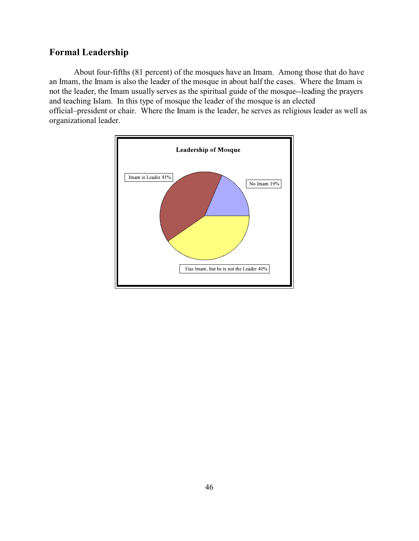# **Formal Leadership**

About four-fifths (81 percent) of the mosques have an Imam. Among those that do have an Imam, the Imam is also the leader of the mosque in about half the cases. Where the Imam is not the leader, the Imam usually serves as the spiritual guide of the mosque--leading the prayers and teaching Islam. In this type of mosque the leader of the mosque is an elected official–president or chair. Where the Imam is the leader, he serves as religious leader as well as organizational leader.

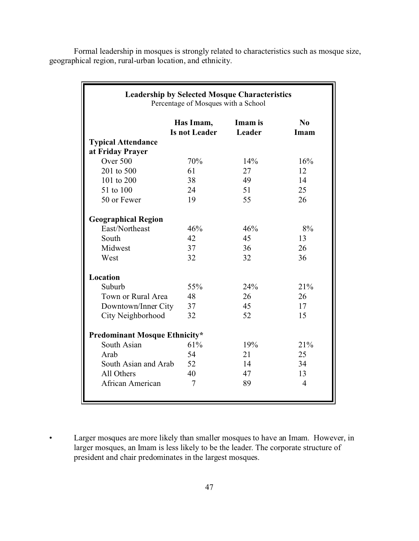Formal leadership in mosques is strongly related to characteristics such as mosque size, geographical region, rural-urban location, and ethnicity.

| <b>Leadership by Selected Mosque Characteristics</b><br>Percentage of Mosques with a School |                                   |                   |                  |  |  |  |  |  |  |  |
|---------------------------------------------------------------------------------------------|-----------------------------------|-------------------|------------------|--|--|--|--|--|--|--|
|                                                                                             | Has Imam,<br><b>Is not Leader</b> | Imam is<br>Leader | $\bf No$<br>Imam |  |  |  |  |  |  |  |
| <b>Typical Attendance</b>                                                                   |                                   |                   |                  |  |  |  |  |  |  |  |
| at Friday Prayer                                                                            |                                   |                   |                  |  |  |  |  |  |  |  |
| Over 500                                                                                    | 70%                               | 14%               | 16%              |  |  |  |  |  |  |  |
| 201 to 500                                                                                  | 61                                | 27                | 12               |  |  |  |  |  |  |  |
| 101 to 200                                                                                  | 38                                | 49                | 14               |  |  |  |  |  |  |  |
| 51 to 100                                                                                   | 24                                | 51                | 25               |  |  |  |  |  |  |  |
| 50 or Fewer                                                                                 | 19                                | 55                | 26               |  |  |  |  |  |  |  |
| <b>Geographical Region</b>                                                                  |                                   |                   |                  |  |  |  |  |  |  |  |
| East/Northeast                                                                              | 46%                               | 46%               | 8%               |  |  |  |  |  |  |  |
| South                                                                                       | 42                                | 45                | 13               |  |  |  |  |  |  |  |
| Midwest                                                                                     | 37                                | 36                | 26               |  |  |  |  |  |  |  |
| West                                                                                        | 32                                | 32                | 36               |  |  |  |  |  |  |  |
| Location                                                                                    |                                   |                   |                  |  |  |  |  |  |  |  |
| Suburb                                                                                      | 55%                               | 24%               | 21%              |  |  |  |  |  |  |  |
| Town or Rural Area                                                                          | 48                                | 26                | 26               |  |  |  |  |  |  |  |
| Downtown/Inner City                                                                         | 37                                | 45                | 17               |  |  |  |  |  |  |  |
| City Neighborhood                                                                           | 32                                | 52                | 15               |  |  |  |  |  |  |  |
| <b>Predominant Mosque Ethnicity*</b>                                                        |                                   |                   |                  |  |  |  |  |  |  |  |
| South Asian                                                                                 | 61%                               | 19%               | 21%              |  |  |  |  |  |  |  |
| Arab                                                                                        | 54                                | 21                | 25               |  |  |  |  |  |  |  |
| South Asian and Arab                                                                        | 52                                | 14                | 34               |  |  |  |  |  |  |  |
| All Others                                                                                  | 40                                | 47                | 13               |  |  |  |  |  |  |  |
| African American                                                                            | 7                                 | 89                | $\overline{4}$   |  |  |  |  |  |  |  |
|                                                                                             |                                   |                   |                  |  |  |  |  |  |  |  |

• Larger mosques are more likely than smaller mosques to have an Imam. However, in larger mosques, an Imam is less likely to be the leader. The corporate structure of president and chair predominates in the largest mosques.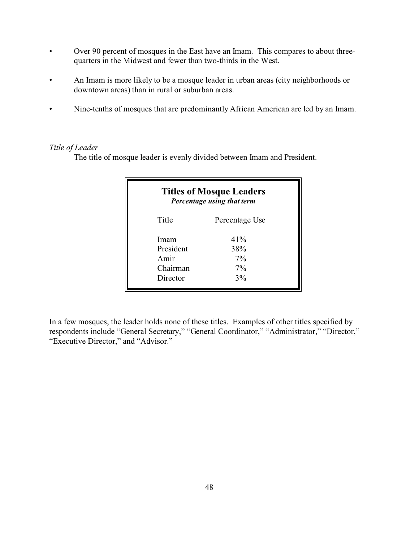- Over 90 percent of mosques in the East have an Imam. This compares to about threequarters in the Midwest and fewer than two-thirds in the West.
- An Imam is more likely to be a mosque leader in urban areas (city neighborhoods or downtown areas) than in rural or suburban areas.
- Nine-tenths of mosques that are predominantly African American are led by an Imam.

### *Title of Leader*

The title of mosque leader is evenly divided between Imam and President.

| <b>Titles of Mosque Leaders</b><br>Percentage using that term |                |  |  |  |  |  |
|---------------------------------------------------------------|----------------|--|--|--|--|--|
| Title                                                         | Percentage Use |  |  |  |  |  |
| Imam                                                          | 41%            |  |  |  |  |  |
| President                                                     | 38%            |  |  |  |  |  |
| Amir                                                          | $7\%$          |  |  |  |  |  |
| Chairman                                                      | $7\%$          |  |  |  |  |  |
| Director                                                      | 3%             |  |  |  |  |  |

In a few mosques, the leader holds none of these titles. Examples of other titles specified by respondents include "General Secretary," "General Coordinator," "Administrator," "Director," "Executive Director," and "Advisor."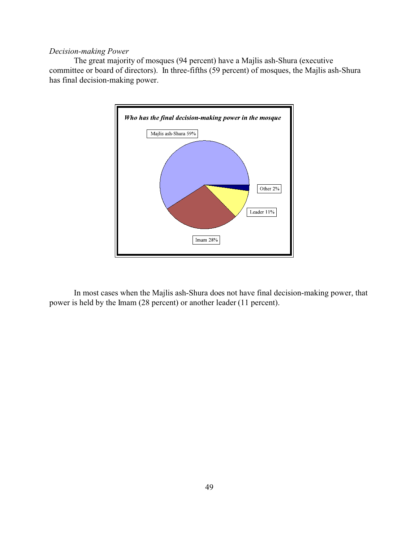### *Decision-making Power*

The great majority of mosques (94 percent) have a Majlis ash-Shura (executive committee or board of directors). In three-fifths (59 percent) of mosques, the Majlis ash-Shura has final decision-making power.



In most cases when the Majlis ash-Shura does not have final decision-making power, that power is held by the Imam (28 percent) or another leader (11 percent).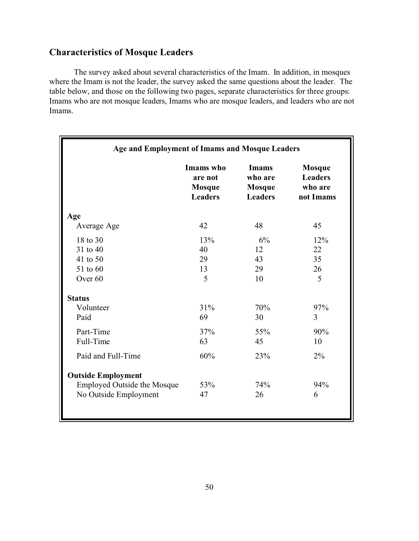# **Characteristics of Mosque Leaders**

The survey asked about several characteristics of the Imam. In addition, in mosques where the Imam is not the leader, the survey asked the same questions about the leader. The table below, and those on the following two pages, separate characteristics for three groups: Imams who are not mosque leaders, Imams who are mosque leaders, and leaders who are not Imams.

| Age and Employment of Imams and Mosque Leaders |                                                         |                                                            |                                                         |  |  |  |
|------------------------------------------------|---------------------------------------------------------|------------------------------------------------------------|---------------------------------------------------------|--|--|--|
|                                                | Imams who<br>are not<br><b>Mosque</b><br><b>Leaders</b> | <b>Imams</b><br>who are<br><b>Mosque</b><br><b>Leaders</b> | <b>Mosque</b><br><b>Leaders</b><br>who are<br>not Imams |  |  |  |
| Age                                            |                                                         |                                                            |                                                         |  |  |  |
| Average Age                                    | 42                                                      | 48                                                         | 45                                                      |  |  |  |
| 18 to 30                                       | 13%                                                     | 6%                                                         | 12%                                                     |  |  |  |
| 31 to 40                                       | 40                                                      | 12                                                         | 22                                                      |  |  |  |
| 41 to 50                                       | 29                                                      | 35                                                         |                                                         |  |  |  |
| 51 to 60                                       | 13                                                      | 29                                                         | 26                                                      |  |  |  |
| Over <sub>60</sub>                             | 5                                                       | 10                                                         | 5                                                       |  |  |  |
| <b>Status</b>                                  |                                                         |                                                            |                                                         |  |  |  |
| Volunteer                                      | 31%                                                     | 70%                                                        | 97%                                                     |  |  |  |
| Paid                                           | 69                                                      | 30                                                         | 3                                                       |  |  |  |
| Part-Time                                      | 37%                                                     | 55%                                                        | 90%                                                     |  |  |  |
| Full-Time                                      | 63                                                      | 45                                                         | 10                                                      |  |  |  |
| Paid and Full-Time                             | 60%                                                     | 23%                                                        | 2%                                                      |  |  |  |
| <b>Outside Employment</b>                      |                                                         |                                                            |                                                         |  |  |  |
| <b>Employed Outside the Mosque</b>             | 53%                                                     | 74%                                                        | 94%                                                     |  |  |  |
| No Outside Employment                          | 47                                                      | 26                                                         | 6                                                       |  |  |  |
|                                                |                                                         |                                                            |                                                         |  |  |  |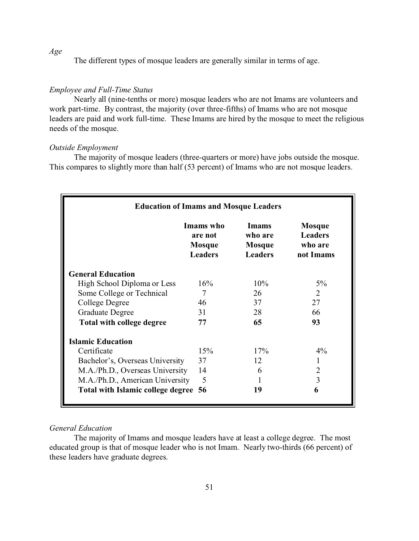The different types of mosque leaders are generally similar in terms of age.

#### *Employee and Full-Time Status*

Nearly all (nine-tenths or more) mosque leaders who are not Imams are volunteers and work part-time. By contrast, the majority (over three-fifths) of Imams who are not mosque leaders are paid and work full-time. These Imams are hired by the mosque to meet the religious needs of the mosque.

#### *Outside Employment*

The majority of mosque leaders (three-quarters or more) have jobs outside the mosque. This compares to slightly more than half (53 percent) of Imams who are not mosque leaders.

| <b>Education of Imams and Mosque Leaders</b>                                                                                                                       |                |     |                             |  |  |  |  |  |  |
|--------------------------------------------------------------------------------------------------------------------------------------------------------------------|----------------|-----|-----------------------------|--|--|--|--|--|--|
| Imams who<br><b>Imams</b><br><b>Mosque</b><br><b>Leaders</b><br>who are<br>are not<br>who are<br>Mosque<br>Mosque<br><b>Leaders</b><br><b>Leaders</b><br>not Imams |                |     |                             |  |  |  |  |  |  |
| <b>General Education</b>                                                                                                                                           |                |     |                             |  |  |  |  |  |  |
| High School Diploma or Less                                                                                                                                        | 16%            | 10% | $5\%$                       |  |  |  |  |  |  |
| Some College or Technical                                                                                                                                          | 7              | 26  | $\mathcal{D}_{\mathcal{L}}$ |  |  |  |  |  |  |
| College Degree                                                                                                                                                     | 46             | 37  | 27                          |  |  |  |  |  |  |
| <b>Graduate Degree</b>                                                                                                                                             | 31             | 28  | 66                          |  |  |  |  |  |  |
| Total with college degree                                                                                                                                          | 77             | 65  | 93                          |  |  |  |  |  |  |
| <b>Islamic Education</b>                                                                                                                                           |                |     |                             |  |  |  |  |  |  |
| Certificate                                                                                                                                                        | 15%            | 17% | 4%                          |  |  |  |  |  |  |
| Bachelor's, Overseas University                                                                                                                                    | 37             | 12  |                             |  |  |  |  |  |  |
| M.A./Ph.D., Overseas University                                                                                                                                    | 14             | 6   | 2                           |  |  |  |  |  |  |
| M.A./Ph.D., American University                                                                                                                                    | $\overline{5}$ |     | 3                           |  |  |  |  |  |  |
| Total with Islamic college degree 56                                                                                                                               |                | 19  | 6                           |  |  |  |  |  |  |

### *General Education*

The majority of Imams and mosque leaders have at least a college degree. The most educated group is that of mosque leader who is not Imam. Nearly two-thirds (66 percent) of these leaders have graduate degrees.

*Age*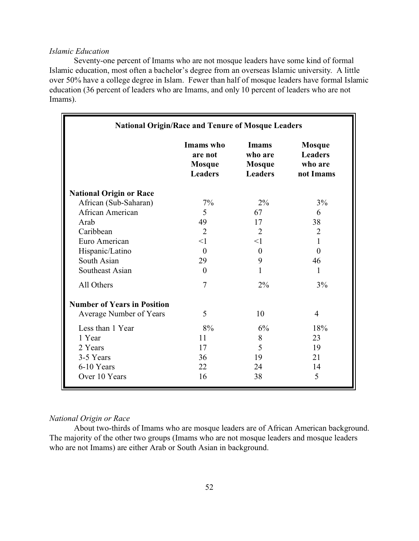#### *Islamic Education*

Seventy-one percent of Imams who are not mosque leaders have some kind of formal Islamic education, most often a bachelor's degree from an overseas Islamic university. A little over 50% have a college degree in Islam. Fewer than half of mosque leaders have formal Islamic education (36 percent of leaders who are Imams, and only 10 percent of leaders who are not Imams).

| <b>National Origin/Race and Tenure of Mosque Leaders</b> |                                                         |                                                     |                                                         |  |  |  |
|----------------------------------------------------------|---------------------------------------------------------|-----------------------------------------------------|---------------------------------------------------------|--|--|--|
|                                                          | Imams who<br>are not<br><b>Mosque</b><br><b>Leaders</b> | Imams<br>who are<br><b>Mosque</b><br><b>Leaders</b> | <b>Mosque</b><br><b>Leaders</b><br>who are<br>not Imams |  |  |  |
| <b>National Origin or Race</b>                           |                                                         |                                                     |                                                         |  |  |  |
| African (Sub-Saharan)                                    | 7%                                                      | 2%                                                  | 3%                                                      |  |  |  |
| African American                                         | 5                                                       | 67                                                  | 6                                                       |  |  |  |
| Arab                                                     | 49                                                      | 17                                                  | 38                                                      |  |  |  |
| Caribbean                                                | $\overline{2}$                                          | $\overline{2}$                                      | $\overline{2}$                                          |  |  |  |
| Euro American                                            | <1                                                      | $\leq$ 1                                            | 1                                                       |  |  |  |
| Hispanic/Latino                                          | $\theta$                                                | $\theta$                                            | $\theta$                                                |  |  |  |
| South Asian                                              | 29                                                      | 9                                                   | 46                                                      |  |  |  |
| Southeast Asian                                          | $\theta$                                                | 1                                                   | 1                                                       |  |  |  |
| All Others                                               | $\overline{7}$                                          | 2%                                                  | 3%                                                      |  |  |  |
| <b>Number of Years in Position</b>                       |                                                         |                                                     |                                                         |  |  |  |
| Average Number of Years                                  | 5                                                       | 10                                                  | $\overline{4}$                                          |  |  |  |
| Less than 1 Year                                         | 8%                                                      | 6%                                                  | 18%                                                     |  |  |  |
| 1 Year                                                   | 11                                                      | 8                                                   | 23                                                      |  |  |  |
| 2 Years                                                  | 17                                                      | 5                                                   | 19                                                      |  |  |  |
| 3-5 Years                                                | 36                                                      | 19                                                  | 21                                                      |  |  |  |
| 6-10 Years                                               | 22                                                      | 24                                                  | 14                                                      |  |  |  |
| Over 10 Years                                            | 16                                                      | 38                                                  | 5                                                       |  |  |  |

### *National Origin or Race*

About two-thirds of Imams who are mosque leaders are of African American background. The majority of the other two groups (Imams who are not mosque leaders and mosque leaders who are not Imams) are either Arab or South Asian in background.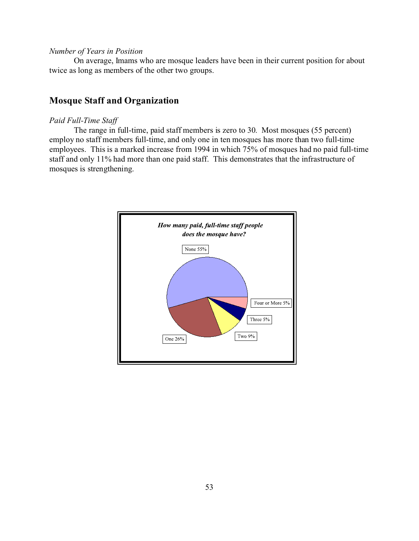#### *Number of Years in Position*

On average, Imams who are mosque leaders have been in their current position for about twice as long as members of the other two groups.

# **Mosque Staff and Organization**

#### *Paid Full-Time Staff*

The range in full-time, paid staff members is zero to 30. Most mosques (55 percent) employ no staff members full-time, and only one in ten mosques has more than two full-time employees. This is a marked increase from 1994 in which 75% of mosques had no paid full-time staff and only 11% had more than one paid staff. This demonstrates that the infrastructure of mosques is strengthening.

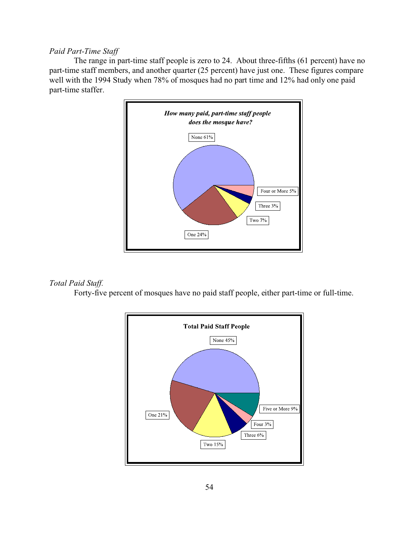### *Paid Part-Time Staff*

The range in part-time staff people is zero to 24. About three-fifths (61 percent) have no part-time staff members, and another quarter (25 percent) have just one. These figures compare well with the 1994 Study when 78% of mosques had no part time and 12% had only one paid part-time staffer.



### *Total Paid Staff.*

Forty-five percent of mosques have no paid staff people, either part-time or full-time.

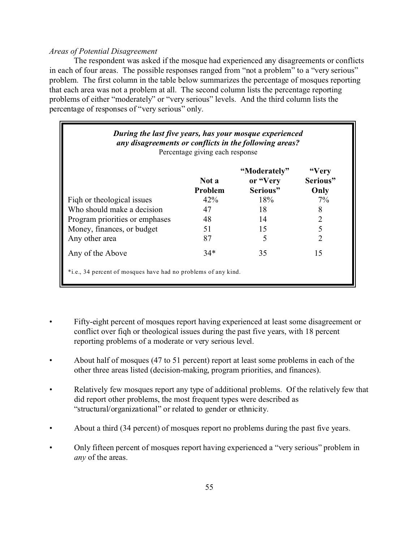### *Areas of Potential Disagreement*

The respondent was asked if the mosque had experienced any disagreements or conflicts in each of four areas. The possible responses ranged from "not a problem" to a "very serious" problem. The first column in the table below summarizes the percentage of mosques reporting that each area was not a problem at all. The second column lists the percentage reporting problems of either "moderately" or "very serious" levels. And the third column lists the percentage of responses of "very serious" only.

| During the last five years, has your mosque experienced<br>any disagreements or conflicts in the following areas?<br>Percentage giving each response |                   |     |       |  |  |  |  |  |  |  |
|------------------------------------------------------------------------------------------------------------------------------------------------------|-------------------|-----|-------|--|--|--|--|--|--|--|
| "Very<br>"Moderately"<br>or "Very<br>Serious"<br>Not a<br>Serious"<br>Problem<br>Only                                                                |                   |     |       |  |  |  |  |  |  |  |
| Figh or theological issues                                                                                                                           | 42%               | 18% | $7\%$ |  |  |  |  |  |  |  |
| Who should make a decision                                                                                                                           | 47                | 18  |       |  |  |  |  |  |  |  |
| Program priorities or emphases                                                                                                                       | 48                | 14  |       |  |  |  |  |  |  |  |
| Money, finances, or budget                                                                                                                           | 51                | 15  |       |  |  |  |  |  |  |  |
| Any other area                                                                                                                                       | 87                |     |       |  |  |  |  |  |  |  |
| Any of the Above                                                                                                                                     | $34*$<br>35<br>15 |     |       |  |  |  |  |  |  |  |
| *i.e., 34 percent of mosques have had no problems of any kind.                                                                                       |                   |     |       |  |  |  |  |  |  |  |

- Fifty-eight percent of mosques report having experienced at least some disagreement or conflict over fiqh or theological issues during the past five years, with 18 percent reporting problems of a moderate or very serious level.
- About half of mosques (47 to 51 percent) report at least some problems in each of the other three areas listed (decision-making, program priorities, and finances).
- Relatively few mosques report any type of additional problems. Of the relatively few that did report other problems, the most frequent types were described as "structural/organizational" or related to gender or ethnicity.
- About a third (34 percent) of mosques report no problems during the past five years.
- Only fifteen percent of mosques report having experienced a "very serious" problem in *any* of the areas.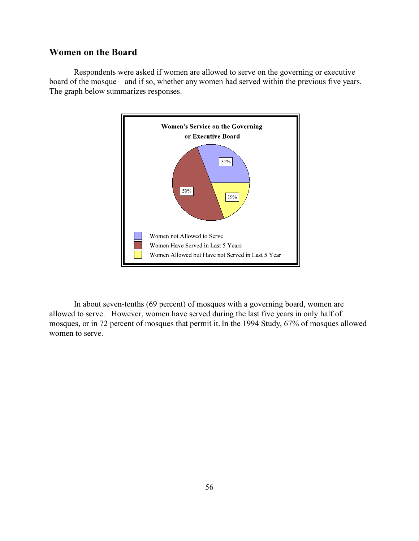### **Women on the Board**

Respondents were asked if women are allowed to serve on the governing or executive board of the mosque – and if so, whether any women had served within the previous five years. The graph below summarizes responses.



In about seven-tenths (69 percent) of mosques with a governing board, women are allowed to serve. However, women have served during the last five years in only half of mosques, or in 72 percent of mosques that permit it. In the 1994 Study, 67% of mosques allowed women to serve.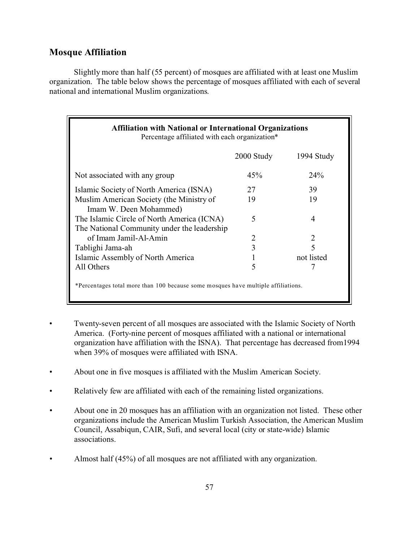### **Mosque Affiliation**

Slightly more than half (55 percent) of mosques are affiliated with at least one Muslim organization. The table below shows the percentage of mosques affiliated with each of several national and international Muslim organizations.

| <b>Affiliation with National or International Organizations</b><br>Percentage affiliated with each organization* |        |                 |  |  |  |  |  |  |  |
|------------------------------------------------------------------------------------------------------------------|--------|-----------------|--|--|--|--|--|--|--|
| 2000 Study<br>1994 Study                                                                                         |        |                 |  |  |  |  |  |  |  |
| Not associated with any group                                                                                    | 45%    | 24 <sup>%</sup> |  |  |  |  |  |  |  |
| Islamic Society of North America (ISNA)                                                                          | 27     | 39              |  |  |  |  |  |  |  |
| Muslim American Society (the Ministry of<br>19<br>19<br>Imam W. Deen Mohammed)                                   |        |                 |  |  |  |  |  |  |  |
| The Islamic Circle of North America (ICNA)<br>The National Community under the leadership                        | 5<br>4 |                 |  |  |  |  |  |  |  |
| of Imam Jamil-Al-Amin                                                                                            | 2      | 2               |  |  |  |  |  |  |  |
| Tablighi Jama-ah                                                                                                 | 3      | $\varsigma$     |  |  |  |  |  |  |  |
| Islamic Assembly of North America                                                                                |        | not listed      |  |  |  |  |  |  |  |
| All Others                                                                                                       | 5      |                 |  |  |  |  |  |  |  |
| *Percentages total more than 100 because some mosques have multiple affiliations.                                |        |                 |  |  |  |  |  |  |  |

- Twenty-seven percent of all mosques are associated with the Islamic Society of North America. (Forty-nine percent of mosques affiliated with a national or international organization have affiliation with the ISNA). That percentage has decreased from1994 when 39% of mosques were affiliated with ISNA.
- About one in five mosques is affiliated with the Muslim American Society.
- Relatively few are affiliated with each of the remaining listed organizations.
- About one in 20 mosques has an affiliation with an organization not listed. These other organizations include the American Muslim Turkish Association, the American Muslim Council, Assabiqun, CAIR, Sufi, and several local (city or state-wide) Islamic associations.
- Almost half (45%) of all mosques are not affiliated with any organization.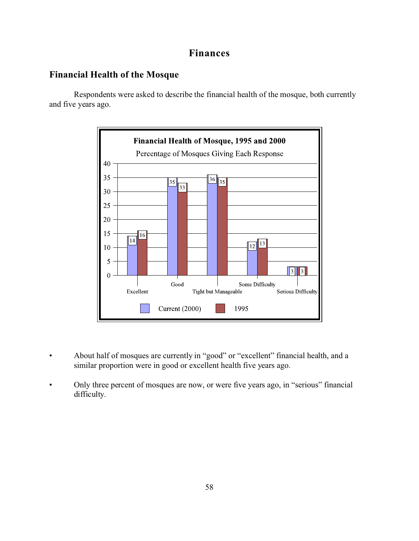# **Finances**

### **Financial Health of the Mosque**

Respondents were asked to describe the financial health of the mosque, both currently and five years ago.



- About half of mosques are currently in "good" or "excellent" financial health, and a similar proportion were in good or excellent health five years ago.
- Only three percent of mosques are now, or were five years ago, in "serious" financial difficulty.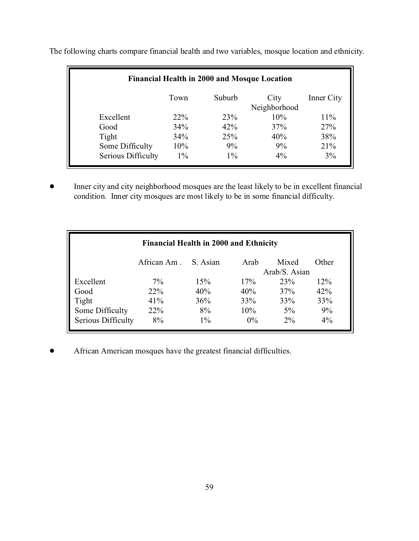| Financial Health in 2000 and Mosque Location |                                                      |       |       |       |  |  |  |  |  |  |
|----------------------------------------------|------------------------------------------------------|-------|-------|-------|--|--|--|--|--|--|
|                                              | Suburb<br>Town<br>City<br>Inner City<br>Neighborhood |       |       |       |  |  |  |  |  |  |
| Excellent                                    | 10%<br>23%<br>$11\%$<br>$22\%$                       |       |       |       |  |  |  |  |  |  |
| Good                                         | 34%                                                  | 42%   | 37%   | 27%   |  |  |  |  |  |  |
| Tight                                        | 34%                                                  | 25%   | 40%   | 38%   |  |  |  |  |  |  |
| Some Difficulty                              | 21%<br>10%<br>9%<br>9%                               |       |       |       |  |  |  |  |  |  |
| Serious Difficulty                           | $1\%$                                                | $1\%$ | $4\%$ | $3\%$ |  |  |  |  |  |  |

The following charts compare financial health and two variables, mosque location and ethnicity.

• Inner city and city neighborhood mosques are the least likely to be in excellent financial condition. Inner city mosques are most likely to be in some financial difficulty.

| <b>Financial Health in 2000 and Ethnicity</b> |             |          |       |       |       |  |
|-----------------------------------------------|-------------|----------|-------|-------|-------|--|
|                                               | African Am. | S. Asian | Arab  | Mixed | Other |  |
| Arab/S. Asian                                 |             |          |       |       |       |  |
| Excellent                                     | 7%          | 15%      | 17%   | 23%   | 12%   |  |
| Good                                          | 22%         | 40%      | 40%   | 37%   | 42%   |  |
| Tight                                         | 41%         | 36%      | 33%   | 33%   | 33%   |  |
| Some Difficulty                               | 22%         | 8%       | 10%   | $5\%$ | 9%    |  |
| Serious Difficulty                            | 8%          | $1\%$    | $0\%$ | $2\%$ | 4%    |  |

**•** African American mosques have the greatest financial difficulties.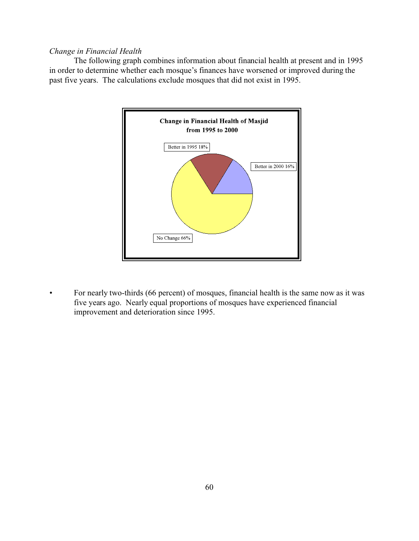### *Change in Financial Health*

The following graph combines information about financial health at present and in 1995 in order to determine whether each mosque's finances have worsened or improved during the past five years. The calculations exclude mosques that did not exist in 1995.



*•* For nearly two-thirds (66 percent) of mosques, financial health is the same now as it was five years ago. Nearly equal proportions of mosques have experienced financial improvement and deterioration since 1995.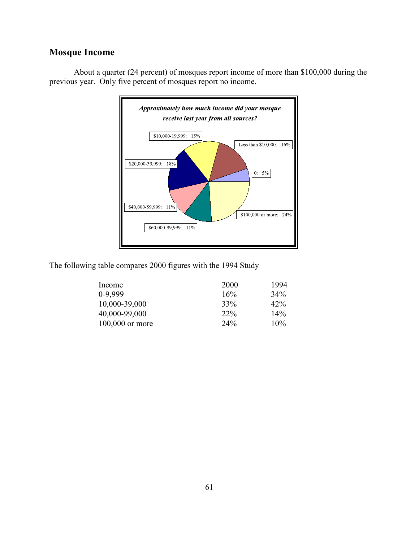# **Mosque Income**



About a quarter (24 percent) of mosques report income of more than \$100,000 during the previous year. Only five percent of mosques report no income.

The following table compares 2000 figures with the 1994 Study

| Income            | 2000   | 1994   |
|-------------------|--------|--------|
| $0-9,999$         | 16%    | $34\%$ |
| 10,000-39,000     | 33%    | $42\%$ |
| 40,000-99,000     | $22\%$ | $14\%$ |
| $100,000$ or more | 24%    | $10\%$ |